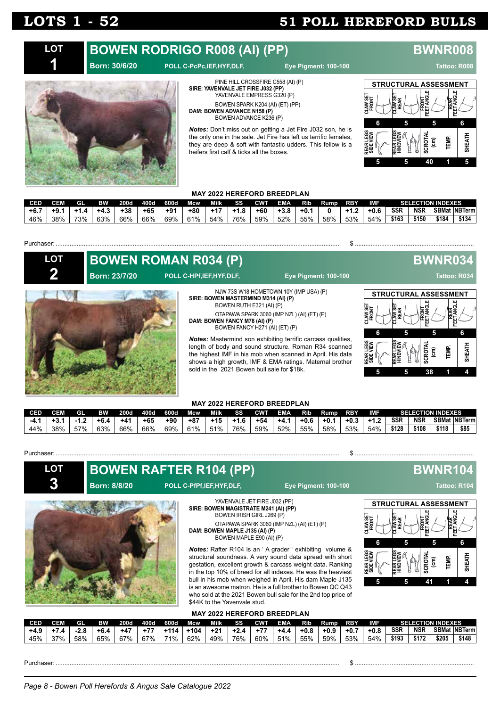#### **BOWEN RODRIGO R008 (AI) (PP) BWNR008 LOT**

### **Born: 30/6/20 POLL C-PcPc,IEF,HYF,DLF, Eye Pigment: 100-100 Tattoo: R008**



PINE HILL CROSSFIRE C558 (AI) (P) **SIRE: YAVENVALE JET FIRE J032 (PP)** YAVENVALE EMPRESS G320 (P) BOWEN SPARK K204 (AI) (ET) (PP) **DAM: BOWEN ADVANCE N158 (P)** BOWEN ADVANCE K236 (P)

*Notes:* Don't miss out on getting a Jet Fire J032 son, he is the only one in the sale. Jet Fire has left us terrific females, they are deep & soft with fantastic udders. This fellow is a heifers first calf & ticks all the boxes.



### **MAY 2022 HEREFORD BREEDPLAN**

| CED    | <b>CEM</b> | <b>GL</b> | <b>RW</b> | 200d  | 400d  | 600d  | Mcw   | Milk  | SS.    |     | CWT EMA | Rib   | Rump | <b>RBY</b> | IMF    |            | <b>SELECTION INDEXES</b> |       |                |
|--------|------------|-----------|-----------|-------|-------|-------|-------|-------|--------|-----|---------|-------|------|------------|--------|------------|--------------------------|-------|----------------|
| $+6.7$ | $+9.1$     | $+1.4$    | $+4.3$ .  | $+38$ | $+65$ | $+91$ | $+80$ | $+17$ | $+1.8$ | +60 | $+3.8$  | $+0.$ |      | $+12$      | $+0.6$ | <b>SSR</b> | NSR                      |       | SBMat INBTerml |
| 46%    | 38%        | 73%       | 63%       | 66%   | 66%   | 69%   | 61%   | 54%   | 76%    | 59% | 52%     | 55%   | 58%  | 53%        | 54%    | \$163      | \$150                    | \$184 | \$134          |

Purchaser: .................................................................................................................................................................. \$ ....................................................................

| <b>LOT</b> | Born: 23/7/20 | <b>BOWEN ROMAN R034 (P)</b><br>POLL C-HPf, IEF, HYF, DLF,                                                                                                                          | <b>Eye Pigment: 100-100</b>                                                                                                                                                                                                                                                                                                             |                                                                                                           | <b>BWNR034</b>                                                             | Tattoo: R034 |
|------------|---------------|------------------------------------------------------------------------------------------------------------------------------------------------------------------------------------|-----------------------------------------------------------------------------------------------------------------------------------------------------------------------------------------------------------------------------------------------------------------------------------------------------------------------------------------|-----------------------------------------------------------------------------------------------------------|----------------------------------------------------------------------------|--------------|
|            |               | SIRE: BOWEN MASTERMIND M314 (AI) (P)<br>BOWEN RUTH E321 (AI) (P)<br>DAM: BOWEN FANCY M78 (AI) (P)<br>BOWEN FANCY H271 (AI) (ET) (P)<br>sold in the 2021 Bowen bull sale for \$18k. | NJW 73S W18 HOMETOWN 10Y (IMP USA) (P)<br>OTAPAWA SPARK 3060 (IMP NZL) (AI) (ET) (P)<br>Notes: Mastermind son exhibiting terrific carcass qualities,<br>length of body and sound structure. Roman R34 scanned<br>the highest IMF in his mob when scanned in April. His data<br>shows a high growth, IMF & EMA ratings. Maternal brother | <b>STRUCTURAL ASSESSMENT</b><br><b>AWSE</b><br>FRONT<br>AW SE<br>REAR<br>6<br>REAR LEGS<br>SIDE VIEW<br>ь | FRONT<br>ET ANGI<br>5<br><b>TEMP.</b><br>ğ<br>$\widehat{\mathbf{g}}$<br>38 | 6<br>Ę<br>¥  |

#### **MAY 2022 HEREFORD BREEDPLAN**

| <b>CED</b> | СЕМ | <b>GI</b> | BW    | 200d  | 400d  | 600d | Mcw   | Milk  | SS     | <b>CWT</b> | <b>EMA</b> | Rib.   | <b>Rump</b> | <b>RBY</b> | IMF    |            | <b>SELECTION INDEXES</b> |       |                      |
|------------|-----|-----------|-------|-------|-------|------|-------|-------|--------|------------|------------|--------|-------------|------------|--------|------------|--------------------------|-------|----------------------|
|            | -ು. |           | +6.4  | $+41$ | $+65$ | +90  | $+87$ | $+15$ | $+1.6$ | $+54$      | $+4.1$     | $+0.6$ | $+0.1$      | $+0.3$     | $+1.2$ | <b>SSR</b> | <b>NSR</b>               |       | <b>SBMat INBTerm</b> |
| 44%        | 38% | 57%       | 63% i | 66%   | 66%   | 69%  | 61%   | 51%   | 76%    | 59%        | 52%        | 55%    | 58%         | $53\%$     | 54%    | \$128      | \$108                    | \$118 | \$85                 |

#### Purchaser: Sales School School School School School School School School School School School School School School School School School School School School School School School School School School School School School Sc



**BOWEN RAFTER R104 (PP) BWNR104** 

### **Born: 8/8/20 POLL C-PfPf,IEF,HYF,DLF, Eye Pigment: 100-100 Tattoo: R104**



YAVENVALE JET FIRE J032 (PP) **SIRE: BOWEN MAGISTRATE M241 (AI) (PP)** BOWEN IRISH GIRL J269 (P) OTAPAWA SPARK 3060 (IMP NZL) (AI) (ET) (P)

**DAM: BOWEN MAPLE J135 (AI) (P)** BOWEN MAPLE E90 (AI) (P)

*Notes:* Rafter R104 is an ' A grader ' exhibiting volume & structural soundness. A very sound data spread with short gestation, excellent growth & carcass weight data. Ranking in the top 10% of breed for all indexes. He was the heaviest bull in his mob when weighed in April. His dam Maple J135 is an awesome matron. He is a full brother to Bowen QC Q43 who sold at the 2021 Bowen bull sale for the 2nd top price of \$44K to the Yavenvale stud.



### **MAY 2022 HEREFORD BREEDPLAN**

| CED  | CEM | GI   | <b>BW</b> | <b>200d</b> | 400d. | 600d   | Mcw    | Milk  | <b>SS</b> | <b>CWT</b> | <b>EMA</b> | <b>Rib</b> | Rump   | <b>RBY</b> | IMF    |       |            | <b>SELECTION INDEXES</b> |                       |
|------|-----|------|-----------|-------------|-------|--------|--------|-------|-----------|------------|------------|------------|--------|------------|--------|-------|------------|--------------------------|-----------------------|
| +4.9 | 4   | ه.∠∙ | +6.4      | $+47$       | $+77$ | $+114$ | $+104$ | $+21$ | $+2.4$    | $+77$      | +4.4       | $+0.8$     | $+0.9$ | $+0.7$     | $+0.8$ | SSR   | <b>NSR</b> |                          | <b>SBMat INBTerml</b> |
| 45%  | २7% | 58%  | 65%       | 67%         | 67%   | 71%    | 62%    | 49%   | 76%       | 60%        | 51%        | 55%        | 59%    | 53%        | 54%    | \$193 | \$172      | \$205                    | \$148                 |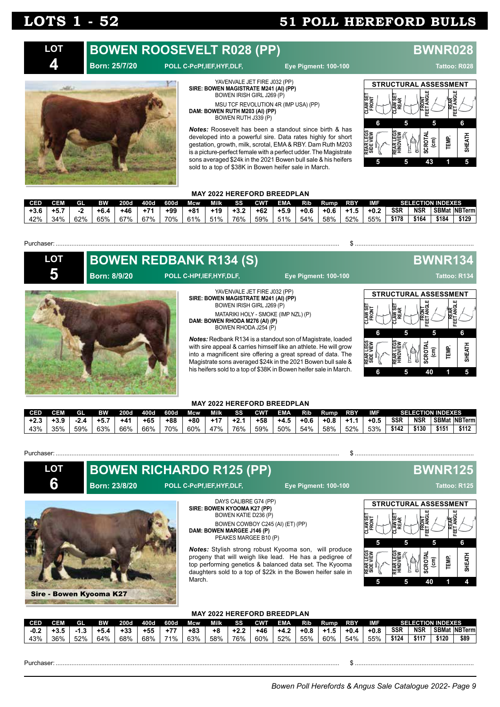**4**

## **LOTS 1 - 52 51 POLL HEREFORD BULLS**

#### **BOWEN ROOSEVELT R028 (PP) BWNR028 LOT**

### **Born: 25/7/20 POLL C-PcPf,IEF,HYF,DLF, Eye Pigment: 100-100 Tattoo: R028**



**SIRE: BOWEN MAGISTRATE M241 (AI) (PP)** BOWEN IRISH GIRL J269 (P) MSU TCF REVOLUTION 4R (IMP USA) (PP) **DAM: BOWEN RUTH M203 (AI) (PP)** BOWEN RUTH J339 (P)

YAVENVALE JET FIRE J032 (PP)

*Notes:* Roosevelt has been a standout since birth & has developed into a powerful sire. Data rates highly for short gestation, growth, milk, scrotal, EMA & RBY. Dam Ruth M203 is a picture-perfect female with a perfect udder. The Magistrate sons averaged \$24k in the 2021 Bowen bull sale & his heifers sold to a top of \$38K in Bowen heifer sale in March.



### **MAY 2022 HEREFORD BREEDPLAN**

| CED    |        | GI. | <b>EW</b> | 200d | 400d  | 600d | Mcw   | Milk  | SS     | <b>CWT</b> | <b>EMA</b> | Rib    | Rump   | <b>RBY</b> | IMF    |            |            | <b>SELECTION INDEXES</b> |                      |
|--------|--------|-----|-----------|------|-------|------|-------|-------|--------|------------|------------|--------|--------|------------|--------|------------|------------|--------------------------|----------------------|
| $+3.6$ | $+5.7$ |     | $+6.4$    | +46  | $+71$ | +99  | $+81$ | $+19$ | $+3.2$ | $+62$      | $+5.9$     | $+0.6$ | $+0.6$ | $+1.5$     | $+0.2$ | <b>SSR</b> | <b>NSR</b> |                          | <b>SBMat NBTerml</b> |
| 42%    | 34%    | 62% | 65%       | 67%  | 67%   | 70%  | 61%   | 51%   | 76%    | 59%        | 51%        | 54%    | 58%    | 52%        | 55%    | \$178      | \$164      | \$184                    | \$129                |

#### Purchaser: .................................................................................................................................................................. \$ ....................................................................

| <b>LOT</b> |                     | <b>BOWEN REDBANK R134 (S)</b>                                                                                                                                |                                                                                                                                                                                                                                                                                                                                             |                                                             | BWNR134                                 |                             |        |
|------------|---------------------|--------------------------------------------------------------------------------------------------------------------------------------------------------------|---------------------------------------------------------------------------------------------------------------------------------------------------------------------------------------------------------------------------------------------------------------------------------------------------------------------------------------------|-------------------------------------------------------------|-----------------------------------------|-----------------------------|--------|
|            | <b>Born: 8/9/20</b> | POLL C-HPf, IEF, HYF, DLF,                                                                                                                                   | <b>Eye Pigment: 100-100</b>                                                                                                                                                                                                                                                                                                                 |                                                             |                                         | Tattoo: R134                |        |
|            |                     | YAVENVALE JET FIRE J032 (PP)<br>SIRE: BOWEN MAGISTRATE M241 (AI) (PP)<br>BOWEN IRISH GIRL J269 (P)<br>DAM: BOWEN RHODA M276 (AI) (P)<br>BOWEN RHODA J254 (P) | MATARIKI HOLY - SMOKE (IMP NZL) (P)                                                                                                                                                                                                                                                                                                         | <b>STRUCTURAL ASSESSMENT</b><br>⊯∝<br>AW.<br>REA<br>k<br>≷e | FRONT<br>ET ANGL                        | <b>REAR</b><br>ET ANGI<br>匣 |        |
|            |                     |                                                                                                                                                              | <b>Notes:</b> Redbank R134 is a standout son of Magistrate, loaded<br>with sire appeal & carries himself like an athlete. He will grow<br>into a magnificent sire offering a great spread of data. The<br>Magistrate sons averaged \$24k in the 2021 Bowen bull sale &<br>his heifers sold to a top of \$38K in Bowen heifer sale in March. | <b>NEW</b><br><b>REAR</b>                                   | ь<br>$\widehat{\mathbf{g}}$<br>ဥၙ<br>40 | <b>TEMP.</b>                | SHEATH |

#### **MAY 2022 HEREFORD BREEDPLAN**

| CED    | СЕМ    | GL  | вw  | 200d  | 400d  | 600d  | Mcw | Milk  | SS  | CWT   | EMA    | Rib  | Rump   | <b>RBY</b> | <b>IME</b> |       |            | <b>SELECTION INDEXES</b> |                     |
|--------|--------|-----|-----|-------|-------|-------|-----|-------|-----|-------|--------|------|--------|------------|------------|-------|------------|--------------------------|---------------------|
| $+2.3$ | $-3.9$ |     | +5  | $+41$ | $+65$ | $+88$ | +80 | $+17$ |     | $+58$ | $+4.5$ | +0.6 | $+0.8$ | +1.1       | $+0.5$     | SSR   | <b>NSR</b> |                          | <b>SBMat NBTerm</b> |
| 43%    | 35%    | 59% | 63% | 66%   | 66%   | 70%   | 60% | 47%   | 76% | 59%   | 50%    | 54%  | 58%    | 52%        | 53%        | \$142 | \$130      | \$151                    | \$112               |

#### Purchaser: Sales San Annual School School School School School School School School School School School School School School School School School School School School School School School School School School School Schoo

**LOT 6**

### **Born: 23/8/20 POLL C-PcPf,IEF,HYF,DLF, Eye Pigment: 100-100 Tattoo: R125**





DAYS CALIBRE G74 (PP) **SIRE: BOWEN KYOOMA K27 (PP)** BOWEN KATIE D236 (P) BOWEN COWBOY C245 (AI) (ET) (PP) **DAM: BOWEN MARGEE J146 (P)** PEAKES MARGEE B10 (P)

*Notes:* Stylish strong robust Kyooma son, will produce progeny that will weigh like lead. He has a pedigree of top performing genetics & balanced data set. The Kyooma daughters sold to a top of \$22k in the Bowen heifer sale in March.

## **BOWEN RICHARDO R125 (PP) BWNR125**



### **MAY 2022 HEREFORD BREEDPLAN**

| CED    | CEM | GL   | ВW   | <b>200d</b> | 400d | 600d | <b>Mcw</b> | Milk | <b>SS</b> | <b>CWT</b> | <b>EMA</b> | <b>Rib</b> | Rump       | RBY  | IMF    |            |            | <b>SELECTION INDEXES</b> |                      |
|--------|-----|------|------|-------------|------|------|------------|------|-----------|------------|------------|------------|------------|------|--------|------------|------------|--------------------------|----------------------|
| $-0.2$ |     | د. ا | +5.4 | +33         | +55  | 177  | $+83$      | +8   | $+2.2$    | $+46$      | +4.2       | $+0.8$     | -41<br>1.J | +0.4 | $+0.8$ | <b>SSR</b> | <b>NSR</b> |                          | <b>SBMat NBTerml</b> |
| 43%    | 36% | 52%  | 64%  | 68%         | 68%  | 71%  | 63%        | 58%  | 76%       | 60%        | 52%        | 55%        | 60%        | 54%  | 55%    | \$124      | \$117      | \$120                    | \$89                 |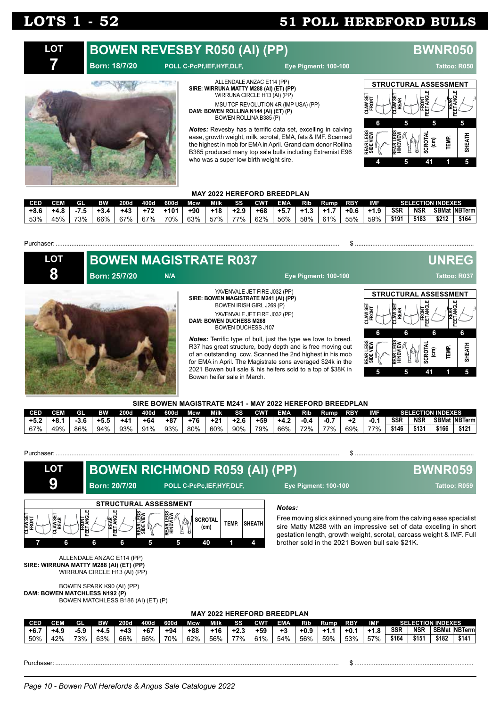### **BOWEN REVESBY R050 (AI) (PP) BWNR050 LOT**

**7**

### **Born: 18/7/20 POLL C-PcPf,IEF,HYF,DLF, Eye Pigment: 100-100 Tattoo: R050**



ALLENDALE ANZAC E114 (PP) **SIRE: WIRRUNA MATTY M288 (AI) (ET) (PP)** WIRRUNA CIRCLE H13 (AI) (PP) MSU TCF REVOLUTION 4R (IMP USA) (PP) **DAM: BOWEN ROLLINA N144 (AI) (ET) (P)** BOWEN ROLLINA B385 (P)

*Notes:* Revesby has a terrific data set, excelling in calving ease, growth weight, milk, scrotal, EMA, fats & IMF. Scanned the highest in mob for EMA in April. Grand dam donor Rollina B385 produced many top sale bulls including Extremist E96 who was a super low birth weight sire.



### **MAY 2022 HEREFORD BREEDPLAN**

| CED    |      | <b>GI</b> | <b>RW</b> | 2006  | 400d  | 600d   | Mcw   | Milk | <b>SS</b> | <b>CWT</b> | EMA    | Rib    | Rump   | <b>RBY</b> | IMF    |            | <b>SELECTION INDEXES</b> |       |                      |
|--------|------|-----------|-----------|-------|-------|--------|-------|------|-----------|------------|--------|--------|--------|------------|--------|------------|--------------------------|-------|----------------------|
| $+8.6$ | +4.8 |           | $+3.4$    | $+43$ | $+72$ | $+101$ | $+90$ | +18  | $+2.9$    | $+68$      | $+5.7$ | $+1.3$ | $+1.7$ | +0.6       | $+1.9$ | <b>SSR</b> | <b>NSR</b>               |       | <b>SBMat NBTerml</b> |
| 53%    | 45%  | 73%       | 66%       | 67% l | 67%   | 70%    | 63%   | 57%  | 77%       | 62%        | 56%    | 58%    | 61%    | 55% .      | 59%    | \$191      | \$183                    | \$212 | \$164                |

**LOT 8**

Purchaser: .................................................................................................................................................................. \$ ....................................................................

**BOWEN MAGISTRATE R037 UNREG Born: 25/7/20 N/A Eye Pigment: 100-100 Tattoo: R037**

#### YAVENVALE JET FIRE J032 (PP) **SIRE: BOWEN MAGISTRATE M241 (AI) (PP)** BOWEN IRISH GIRL J269 (P) YAVENVALE JET FIRE J032 (PP) **DAM: BOWEN DUCHESS M268**

BOWEN DUCHESS J107

*Notes:* Terrific type of bull, just the type we love to breed. R37 has great structure, body depth and is free moving out of an outstanding cow. Scanned the 2nd highest in his mob for EMA in April. The Magistrate sons averaged \$24k in the 2021 Bowen bull sale & his heifers sold to a top of \$38K in Bowen heifer sale in March.



#### **SIRE BOWEN MAGISTRATE M241 - MAY 2022 HEREFORD BREEDPLAN**

| <b>CED</b> | CEM | GL     | вw     | <b>200d</b> | 400d  | 600d  | Mcw.  | Milk. | <b>SS</b> | <b>CWT</b> | <b>EMA</b> | <b>Rib</b> | Rump.  | <b>RBY</b> | IMF    |            | <b>SELECTION INDEXES</b> |              |               |
|------------|-----|--------|--------|-------------|-------|-------|-------|-------|-----------|------------|------------|------------|--------|------------|--------|------------|--------------------------|--------------|---------------|
| $+5.2$     | +8. | $-3.6$ | $+5.5$ | $+41$       | $+64$ | $+87$ | $+76$ | $+21$ | $+2.6$    | $+59$      | $+4.2$     | -0.4       | $-0.7$ | $+2$       | $-0.1$ | <b>SSR</b> | <b>NSR</b>               | <b>SBMat</b> | <b>NBTerm</b> |
| 67%        | 49% | 86%    | 94%    | 93%         | 91%   | 93%   | 80%   | 60%   | 90%       | 79%        | 66%        | 72%        | 77%    | 69%        | 77%    | \$146      | \$131                    | \$166        | \$121         |



### **MAY 2022 HEREFORD BREEDPLAN**

| <b>CED</b> | CEM   | Gl                | <b>BW</b> | 200d  | 400d  | 600d  | <b>Mcw</b> | Milk | SS    | CWT   | EMA | Rib    | Rump. | <b>RBY</b> | IMF    |       |            | <b>SELECTION INDEXES</b> |                      |
|------------|-------|-------------------|-----------|-------|-------|-------|------------|------|-------|-------|-----|--------|-------|------------|--------|-------|------------|--------------------------|----------------------|
| $+6.7$     | - +4. | $\Omega$<br>ాం. ఒ | +4.5      | $+43$ | $+67$ | $+94$ | +88        | +16  | +2.3  | $+59$ | +3  | $+0.9$ |       | +0.        | $+1.8$ | SSR   | <b>NSR</b> |                          | <b>SBMat NBTerml</b> |
| 50%        | 1つ0/  | 73%               | 63%       | 66%   | 66%   | 70%   | 62%        | 56%  | 770/2 | 61%   | 54% | 56%    | 59%   | 53%<br>ັບ  | 57%    | \$164 | \$151      | ነ182                     | \$141                |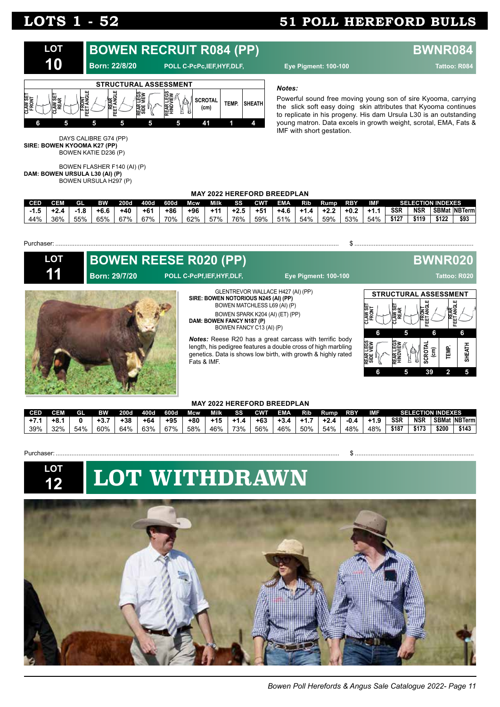**CLAW SET FRONT**

**REAR LEGS SIDE VIEW** **CLAW SET REAR**

**REAR LEGS HINDVIEW** **FRONT FEET ANGLE**

**6 5 6 6**

**SCROTAL (cm) TEMP.**

**6 5 39 2 5**

**REAR FEET ANGLE**

**SHEATH**



| 44%        | 36%        | 55% | 65%                          | 67% | 67% | 70% | 62% | 57%                         | 76%                                                                       | 59% | 51% | 54%                         | 59% | 53% | 54% | \$127 | \$119                            | \$93           |
|------------|------------|-----|------------------------------|-----|-----|-----|-----|-----------------------------|---------------------------------------------------------------------------|-----|-----|-----------------------------|-----|-----|-----|-------|----------------------------------|----------------|
|            |            |     |                              |     |     |     |     |                             |                                                                           |     |     |                             |     |     |     |       |                                  |                |
| Purchaser: |            |     |                              |     |     |     |     |                             |                                                                           |     |     |                             |     |     |     |       |                                  |                |
|            | <b>LOT</b> |     | <b>BOWEN REESE R020 (PP)</b> |     |     |     |     |                             |                                                                           |     |     |                             |     |     |     |       |                                  | <b>BWNR020</b> |
|            | 11         |     | <b>Born: 29/7/20</b>         |     |     |     |     | POLL C-PcPf, IEF, HYF, DLF, |                                                                           |     |     | <b>Eye Pigment: 100-100</b> |     |     |     |       |                                  | Tattoo: R020   |
|            |            |     |                              |     |     |     |     |                             | GLENTREVOR WALLACE H427 (AI) (PP)<br>SIRE: BOWEN NOTORIOUS N245 (AI) (PP) |     |     |                             |     |     |     |       | <b>STRUCTURAL ASSESSMENT</b><br> | $\mathbf{H}$   |

BOWEN MATCHLESS L69 (AI) (P) BOWEN SPARK K204 (AI) (ET) (PP)

*Notes:* Reese R20 has a great carcass with terrific body length, his pedigree features a double cross of high marbling genetics. Data is shows low birth, with growth & highly rated

BOWEN FANCY C13 (AI) (P)

**DAM: BOWEN FANCY N187 (P)**

Fats & IMF.



#### **MAY 2022 HEREFORD BREEDPLAN**

| CED | CEM | GI  | <b>BW</b> | 200d  | 400d  | 600d  | Mcw | Milk  | SS  | CWT   | EMA  | Rib | Rump        | <b>RBY</b> | IMF    |       | <b>SELECTION INDEXES</b> |       |                     |
|-----|-----|-----|-----------|-------|-------|-------|-----|-------|-----|-------|------|-----|-------------|------------|--------|-------|--------------------------|-------|---------------------|
|     | +8. |     | +3        | $+38$ | $+64$ | $+95$ | +80 | $+15$ |     | $+63$ | +3.4 | .   | -42<br>+2.4 | $-0.4$     | $+1.9$ | SSR   | <b>NSR</b>               |       | <b>SBMat NBTerm</b> |
| 39% | 32% | 54% | 60%       | 64%   | 63%   | 67%   | 58% | 46%   | 73% | 56%   | 46%  | 50% | 54%         | 48%        | 48%    | \$187 | \$173                    | \$200 | \$143               |

Purchaser: Sales Contract Contract Contract Contract Contract Contract Contract Contract Contract Contract Contract Contract Contract Contract Contract Contract Contract Contract Contract Contract Contract Contract Contrac



# **LOT WITHDRAWN**

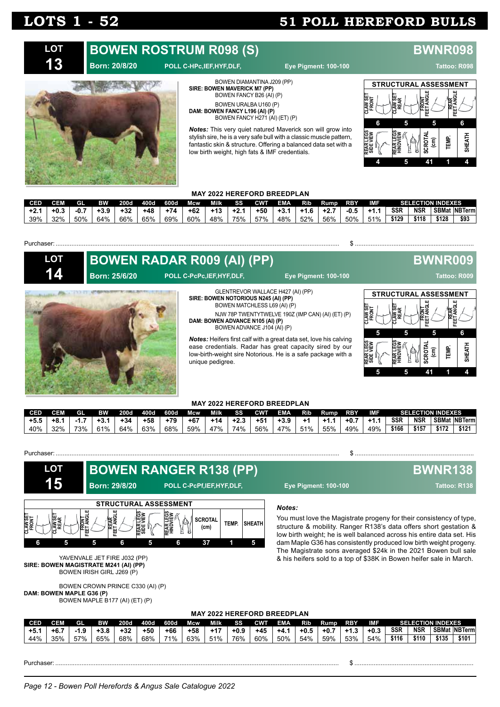



**SIRE: BOWEN MAVERICK M7 (PP)** BOWEN FANCY B26 (AI) (P) BOWEN URALBA U160 (P) **DAM: BOWEN FANCY L196 (AI) (P)** BOWEN FANCY H271 (AI) (ET) (P)

*Notes:* This very quiet natured Maverick son will grow into stylish sire, he is a very safe bull with a classic muscle pattern, fantastic skin & structure. Offering a balanced data set with a low birth weight, high fats & IMF credentials.



### **MAY 2022 HEREFORD BREEDPLAN**

| CED   |           | ता  | ВW     | <b>200d</b> | 400d  | 600d  | Mcw   | Milk  | SS     | <b>CWT</b> | <b>EMA</b> | Rib | Rump   | <b>RBY</b> | IMF  |            |            | <b>SELECTION INDEXES</b> |                     |
|-------|-----------|-----|--------|-------------|-------|-------|-------|-------|--------|------------|------------|-----|--------|------------|------|------------|------------|--------------------------|---------------------|
| $+2.$ | -+0       | -0. | $+3.9$ | $+32$       | $+48$ | $+74$ | $+62$ | $+13$ | $+2.1$ | +50        | +3         | . 6 | $+2.7$ | $-0.5$     | $+1$ | <b>SSR</b> | <b>NSR</b> |                          | <b>SBMat NBTerm</b> |
| 39%   | 32%<br>ےر | 50% | 64%    | 66%         | 65%   | 69%   | 60%   | 48%   | 75%    | 57%        | 48%        | 52% | 56%    | 50%        | 51%  | \$129      | \$118      | \$128                    | \$93                |

#### Purchaser: .................................................................................................................................................................. \$ ....................................................................

| <b>LOT</b> |               | <b>BOWEN RADAR R009 (AI) (PP)</b>                                    |                                                                                                                                                                                                     |                                              | <b>BWNR009</b>                                           |               |
|------------|---------------|----------------------------------------------------------------------|-----------------------------------------------------------------------------------------------------------------------------------------------------------------------------------------------------|----------------------------------------------|----------------------------------------------------------|---------------|
| 14         | Born: 25/6/20 | POLL C-PcPc, IEF, HYF, DLF,                                          | <b>Eye Pigment: 100-100</b>                                                                                                                                                                         |                                              | Tattoo: R009                                             |               |
|            |               | SIRE: BOWEN NOTORIOUS N245 (AI) (PP)<br>BOWEN MATCHLESS L69 (AI) (P) | GLENTREVOR WALLACE H427 (AI) (PP)                                                                                                                                                                   | STRUCTURAL ASSESSMENT                        |                                                          |               |
|            |               | DAM: BOWEN ADVANCE N105 (AI) (P)<br>BOWEN ADVANCE J104 (AI) (P)      | NJW 78P TWENTYTWELVE 190Z (IMP CAN) (AI) (ET) (P)                                                                                                                                                   | <b>CLAWSE</b><br>FRONT<br>AW SE<br>REAR<br>ь | <b>REAR</b><br>ET ANGLE<br><b>FRONT</b><br>EET ANGI<br>5 | 6             |
|            |               | unique pedigree.                                                     | <b>Notes:</b> Heifers first calf with a great data set, love his calving<br>ease credentials. Radar has great capacity sired by our<br>low-birth-weight sire Notorious. He is a safe package with a | 5<br>REAR LEGS<br>SIDE VIEW                  | SCROTAL<br><b>TEMP.</b><br>$\widehat{\mathsf{E}}$        | <b>SHEATH</b> |
|            |               |                                                                      |                                                                                                                                                                                                     |                                              |                                                          |               |

#### **MAY 2022 HEREFORD BREEDPLAN**

| <b>CED</b> |         | GI  | вw     | 200d  | 400d  | 600d  | Mcw   | Milk  | SS     | <b>CWT</b> | <b>EMA</b> | Rib | Rump    | <b>RBY</b> | IMF    |            |            | <b>SELECTION INDEXES</b> |                     |
|------------|---------|-----|--------|-------|-------|-------|-------|-------|--------|------------|------------|-----|---------|------------|--------|------------|------------|--------------------------|---------------------|
| $+5.5$     | - +8. ⊥ |     | $+3.1$ | $+34$ | $+58$ | $+79$ | $+67$ | $+14$ | $+2.3$ | $+51$      | $+3.9$     |     | - +1. . | $+0.7$     | -+1. . | <b>SSR</b> | <b>NSR</b> |                          | <b>SBMat NBTerm</b> |
| 40%        | 220/    | 73% | 61%    | 64%   | 63%   | 68%   | 59%   | 47%   | 74%    | 56%        | 47%        | 51% | 55%     | 49%        | 49%    | \$166      | \$157      | \$172                    | \$121               |



**LOT**



**Born: 29/8/20 POLL C-PcPf,IEF,HYF,DLF, Eye Pigment: 100-100 Tattoo: R138**



YAVENVALE JET FIRE J032 (PP) **SIRE: BOWEN MAGISTRATE M241 (AI) (PP)** BOWEN IRISH GIRL J269 (P)

BOWEN CROWN PRINCE C330 (AI) (P) **DAM: BOWEN MAPLE G36 (P)** BOWEN MAPLE B177 (AI) (ET) (P)

## **BOWEN RANGER R138 (PP) BWNR138**

#### *Notes:*

You must love the Magistrate progeny for their consistency of type, structure & mobility. Ranger R138's data offers short gestation & low birth weight; he is well balanced across his entire data set. His dam Maple G36 has consistently produced low birth weight progeny. The Magistrate sons averaged \$24k in the 2021 Bowen bull sale & his heifers sold to a top of \$38K in Bowen heifer sale in March.

**MAY 2022 HEREFORD BREEDPLAN**

| <b>CED</b> | CEM    | GL   | вw   | 200d  | 400d  | 600d       | <b>Mcw</b> | Milk | SS     | <b>CWT</b> | <b>EMA</b> | Rib    | Rump   | <b>RBY</b>  | IMF    |            |            | <b>SELECTION INDEXES</b> |                      |
|------------|--------|------|------|-------|-------|------------|------------|------|--------|------------|------------|--------|--------|-------------|--------|------------|------------|--------------------------|----------------------|
| $+5.$      | $+6.7$ | -1.5 | +3.ხ | $+32$ | $+50$ | $+66$      | $+58$      | +17  | $+0.9$ | $+45$      | - +4.      | $+0.5$ | $+0.7$ | -41<br>ن. ا | $+0.3$ | <b>SSR</b> | <b>NSR</b> |                          | <b>SBMat NBTerml</b> |
| 44%        | 35%    | 57%  | 65%  | 68%   | 68%   | <b>71%</b> | 63%        | 51%  | 76%    | 60%        | 50%        | 54%    | 59%    | 53%         | 54%    | \$116      | \$110      | \$135                    | \$101                |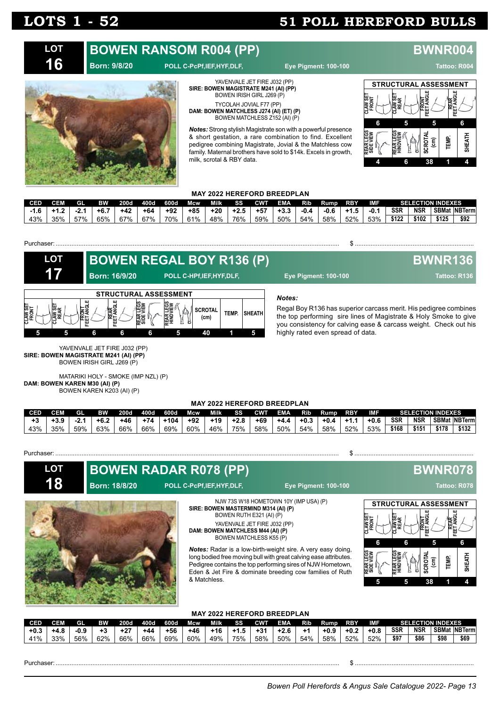### **BOWEN RANSOM R004 (PP) BWNR004 LOT 16**

### **Born: 9/8/20 POLL C-PcPf,IEF,HYF,DLF, Eye Pigment: 100-100 Tattoo: R004**



YAVENVALE JET FIRE J032 (PP) **SIRE: BOWEN MAGISTRATE M241 (AI) (PP)** BOWEN IRISH GIRL J269 (P) TYCOLAH JOVIAL F77 (PP) **DAM: BOWEN MATCHLESS J274 (AI) (ET) (P)** BOWEN MATCHLESS Z152 (AI) (P)

*Notes:* Strong stylish Magistrate son with a powerful presence & short gestation, a rare combination to find. Excellent pedigree combining Magistrate, Jovial & the Matchless cow family. Maternal brothers have sold to \$14k. Excels in growth, milk, scrotal & RBY data.



### **MAY 2022 HEREFORD BREEDPLAN**

| CED |     | Gl  | BW   | 200d  | 400d  | 600d  | <b>Mcw</b> | Milk  | SS     | <b>CWT</b> | EMA    | Rib  | Rump   | <b>RBY</b> | IMF    |            | <b>SELECTION INDEXES</b> |       |                       |
|-----|-----|-----|------|-------|-------|-------|------------|-------|--------|------------|--------|------|--------|------------|--------|------------|--------------------------|-------|-----------------------|
|     |     |     | +6.7 | $+42$ | $+64$ | $+92$ | $+85$      | $+20$ | $+2.5$ | $+57$      | $+3.3$ | -0.4 | $-0.6$ | - +1.5     | $-0.1$ | <b>SSR</b> | NSR                      |       | <b>SBMat INBTerml</b> |
| 43% | 35% | 57% | 65%  | 67%   | 67%   | 70%   | 61%        | 48%   | 76%    | 59%        | 50%    | 54%  | 58%    | 52%        | 53%    | \$122      | \$102                    | \$125 | \$92                  |

#### Purchaser: .................................................................................................................................................................. \$ ....................................................................

| <b>LOT</b>                                                     | <b>BOWEN REGAL BOY R136 (P)</b>                                |                             |                                                       |       |               |                                                                                                                                                                                                                                                         | <b>BWNR136</b> |
|----------------------------------------------------------------|----------------------------------------------------------------|-----------------------------|-------------------------------------------------------|-------|---------------|---------------------------------------------------------------------------------------------------------------------------------------------------------------------------------------------------------------------------------------------------------|----------------|
| 17                                                             | Born: 16/9/20                                                  |                             | POLL C-HPf, IEF, HYF, DLF,                            |       |               | <b>Eye Pigment: 100-100</b>                                                                                                                                                                                                                             | Tattoo: R136   |
| CLAW SET<br>FRONT<br>ERONT<br>EET ANGL<br>ᄖ<br>AW <sup>S</sup> | <b>STRUCTURAL ASSESSMENT</b><br><b>REAR</b><br>FEET ANGLE<br>6 | REAR LEGS<br>SIDE VIEW<br>6 | REAR LEGS<br>HINDVIEW<br><b>SCROTAL</b><br>(cm)<br>40 | TEMP. | <b>SHEATH</b> | Notes:<br>Regal Boy R136 has superior carcass merit. His pedigree combines<br>the top performing sire lines of Magistrate & Holy Smoke to give<br>you consistency for calving ease & carcass weight. Check out his<br>highly rated even spread of data. |                |

YAVENVALE JET FIRE J032 (PP) **SIRE: BOWEN MAGISTRATE M241 (AI) (PP)** BOWEN IRISH GIRL J269 (P)

MATARIKI HOLY - SMOKE (IMP NZL) (P) **DAM: BOWEN KAREN M30 (AI) (P)** BOWEN KAREN K203 (AI) (P)

#### **MAY 2022 HEREFORD BREEDPLAN**

| <b>CED</b> | CEM | GL    | вw     | <b>200d</b> | 400d  | 600d   | <b>Mcw</b> | Milk  | SS     | <b>CWT</b> | <b>EMA</b> | Rib    | <b>Rump</b> | <b>RBY</b> | IMF    |            | <b>SELECTION INDEXES</b> |       |                     |
|------------|-----|-------|--------|-------------|-------|--------|------------|-------|--------|------------|------------|--------|-------------|------------|--------|------------|--------------------------|-------|---------------------|
| $+3$       |     | -4. . | $+6.2$ | $+46$       | $+74$ | $+104$ | $+92$      | $+19$ | $+2.8$ | $+69$      | $+4.4$     | $+0.3$ | $+0.4$      | $+1.7$     | $+0.6$ | <b>SSR</b> | <b>NSR</b>               |       | <b>SBMat NBTerm</b> |
| 43%        | 35% | 59%   | 63%    | 66%         | 66%   | 69%    | 60%        | 46%   | 75%    | 58%        | 50%        | 54%    | 58%         | 52%        | 53%    | \$168      | \$151                    | \$178 | \$132               |

#### Purchaser: Sales Contract Contract Contract Contract Contract Contract Contract Contract Contract Contract Contract Contract Contract Contract Contract Contract Contract Contract Contract Contract Contract Contract Contrac

**LOT 18**

**BOWEN RADAR R078 (PP) BWNR078** 

**Born: 18/8/20 POLL C-PcPf,IEF,HYF,DLF, Eye Pigment: 100-100 Tattoo: R078**



NJW 73S W18 HOMETOWN 10Y (IMP USA) (P) **SIRE: BOWEN MASTERMIND M314 (AI) (P)** BOWEN RUTH E321 (AI) (P) YAVENVALE JET FIRE J032 (PP)

**DAM: BOWEN MATCHLESS M44 (AI) (P)** BOWEN MATCHLESS K55 (P)

*Notes:* Radar is a low-birth-weight sire. A very easy doing, long bodied free moving bull with great calving ease attributes. Pedigree contains the top performing sires of NJW Hometown, Eden & Jet Fire & dominate breeding cow families of Ruth & Matchless.



#### **MAY 2022 HEREFORD BREEDPLAN**

| <b>CED</b> | CEM         | GI     | RW  | 200d | 400d  | 600d  | Mcw   | Milk        | SS                               | CWT   | EMA. | Rib | Rump.  | <b>RBY</b> | <b>IMF</b> |            |            | <b>SELECTION INDEXES</b> |                     |
|------------|-------------|--------|-----|------|-------|-------|-------|-------------|----------------------------------|-------|------|-----|--------|------------|------------|------------|------------|--------------------------|---------------------|
| +0.ა       | - 0<br>+4.ბ | $-0.9$ |     | +27  | $+44$ | $+56$ | $+46$ | +16         | $\overline{\phantom{a}}$<br>ن. ا | $+3'$ |      |     | $+0.9$ | $+0.2$     | $+0.8$     | <b>SSR</b> | <b>NSR</b> |                          | <b>SBMat NBTerm</b> |
| 41%        | 33%         | 56%    | 62% | 66%  | 66%   | 69%   | 60%   | 49%<br>ט ⁄י | 75%                              | 58%   | 50%  | 54% | 58%    | 52%        | 52%        | \$97       | \$86       | \$98                     | \$69                |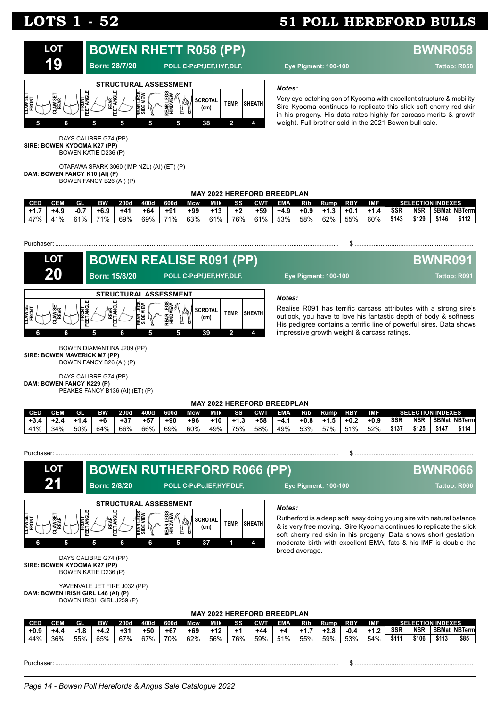

#### *Notes:*

Very eye-catching son of Kyooma with excellent structure & mobility. Sire Kyooma continues to replicate this slick soft cherry red skin in his progeny. His data rates highly for carcass merits & growth weight. Full brother sold in the 2021 Bowen bull sale.

DAYS CALIBRE G74 (PP) **SIRE: BOWEN KYOOMA K27 (PP)** BOWEN KATIE D236 (P)

OTAPAWA SPARK 3060 (IMP NZL) (AI) (ET) (P) **DAM: BOWEN FANCY K10 (AI) (P)** BOWEN FANCY B26 (AI) (P)

### **MAY 2022 HEREFORD BREEDPLAN**

| <b>CED</b> |     | GI    | <b>RW</b> | 200d  | 400d  | 600d  | Mcw. | Milk  | SS  | <b>CWT</b> | <b>EMA</b> | RI5.   | Rump.  | <b>RBY</b> | IMF    |            | <b>SELECTION INDEXES</b> |       |                      |
|------------|-----|-------|-----------|-------|-------|-------|------|-------|-----|------------|------------|--------|--------|------------|--------|------------|--------------------------|-------|----------------------|
|            | +дч | -0.   | $+6.9$    | $+41$ | $+64$ | $+91$ | +99  | $+13$ | +2  | $+59$      | $+4.9$     | $+0.9$ | $+1.3$ | +0.        | $+1.4$ | <b>SSR</b> | <b>NSR</b>               |       | <b>SBMat NBTerml</b> |
| 47%        | 41% | 610/2 | 71%       | 69%   | 69%   | 71%   | 63%  | 61%   | 76% | 61%        | 53%        | 58%    | 62%    | 55%        | 60%    | \$143      | \$129                    | \$146 | \$112                |



BOWEN DIAMANTINA J209 (PP) **SIRE: BOWEN MAVERICK M7 (PP)** BOWEN FANCY B26 (AI) (P)

DAYS CALIBRE G74 (PP) **DAM: BOWEN FANCY K229 (P)** PEAKES FANCY B136 (AI) (ET) (P)

#### **MAY 2022 HEREFORD BREEDPLAN**

| <b>CED</b> | CEM | GL  | вw  | 200d  | 400d  | 600d  | Mcw   | Milk  | SS     | <b>CWT</b> | <b>EMA</b> | Rib    | Rump   | <b>RBY</b> | IMF    |            |            | <b>SELECTION INDEXES</b> |                      |
|------------|-----|-----|-----|-------|-------|-------|-------|-------|--------|------------|------------|--------|--------|------------|--------|------------|------------|--------------------------|----------------------|
| $+3.4$     |     |     | +6  | $+37$ | $+57$ | $+90$ | $+96$ | $+10$ | $+1.3$ | $+58$      | $+4.1$     | $+0.8$ | $+1.5$ | $+0.2$     | $+0.9$ | <b>SSR</b> | <b>NSR</b> |                          | <b>SBMat NBTermi</b> |
| 41%        | 34% | 50% | 64% | 66%   | 66%   | 69%   | 60%   | 49%   | 75%    | 58%        | 49%        | 53%    | 57%    | 51%        | 52%    | \$137      | \$125      | \$147                    | \$114                |



Purchaser: .................................................................................................................................................................. \$ ....................................................................

*Notes:* Rutherford is a deep soft easy doing young sire with natural balance & is very free moving. Sire Kyooma continues to replicate the slick soft cherry red skin in his progeny. Data shows short gestation, moderate birth with excellent EMA, fats & his IMF is double the breed average. **MAY 2022 HEREFORD BREEDPLAN** DAYS CALIBRE G74 (PP) **SIRE: BOWEN KYOOMA K27 (PP)** BOWEN KATIE D236 (P) YAVENVALE JET FIRE J032 (PP) **DAM: BOWEN IRISH GIRL L48 (AI) (P)** BOWEN IRISH GIRL J259 (P) **LOT 21 CED CEM GL BW 200d 400d 600d Mcw Milk SS CWT EMA Rib Rump RBY IMF SELECTION INDEXES +0.9 +4.4 -1.8 +4.2 +31 +50 +67 +69 +12 +1 +44 +4 +1.7 +2.8 -0.4 +1.2 SSR NSR SBMat NBTerm** 44% 36% 55% 65% 67% 67% 70% 62% 56% 76% 59% 51% 55% 59% 53% 54% **\$111 \$106 \$113 \$85 STRUCTURAL ASSESSMENT CLAW SET FRONT CLAW SET REAR FRONT FEET ANGLE REAR FEET ANGLE REAR LEGS SIDE VIEW REAR LEGS HINDVIEW SCROTAL (cm) TEMP. SHEATH 6 5 5 6 6 5 37 1 4 BOWEN RUTHERFORD R066 (PP) BWNR066 Born: 2/8/20 POLL C-PcPc,IEF,HYF,DLF, Eye Pigment: 100-100 Tattoo: R066**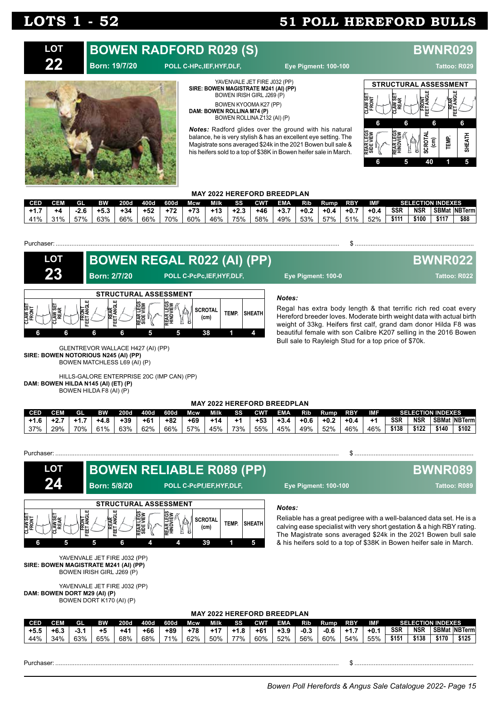### **BOWEN RADFORD R029 (S) BWNR029 Born: 19/7/20 POLL C-HPc,IEF,HYF,DLF, Eye Pigment: 100-100 Tattoo: R029 LOT 22**



YAVENVALE JET FIRE J032 (PP) **SIRE: BOWEN MAGISTRATE M241 (AI) (PP)** BOWEN IRISH GIRL J269 (P) BOWEN KYOOMA K27 (PP) **DAM: BOWEN ROLLINA M74 (P)** BOWEN ROLLINA Z132 (AI) (P)

*Notes:* Radford glides over the ground with his natural balance, he is very stylish & has an excellent eye setting. The Magistrate sons averaged \$24k in the 2021 Bowen bull sale & his heifers sold to a top of \$38K in Bowen heifer sale in March.



### **MAY 2022 HEREFORD BREEDPLAN**

| CED |     | GI     | <b>RW</b> | 200d  | 400d  | <b>600d</b> | Mcw   | Milk  | SS     | <b>CWT</b> | EMA    | RID.   | Rump   | <b>RBY</b> | <b>IMF</b> |            |            | <b>SELECTION INDEXES</b> |              |
|-----|-----|--------|-----------|-------|-------|-------------|-------|-------|--------|------------|--------|--------|--------|------------|------------|------------|------------|--------------------------|--------------|
|     |     | $-2.6$ | $+5.3$    | $+34$ | $+52$ | $+72$       | $+73$ | $+13$ | $+2.3$ | +46        | $+3.7$ | $+0.2$ | $+0.4$ | $+0.7$     | $+0.4$     | <b>SSR</b> | <b>NSR</b> |                          | SBMat NBTerm |
| 41% | 31% | 57%    | 63%       | 66%   | 66%   | 70%         | 60%   | 46%   | 75%    | 58%        | 49%    | 53%    | 57%    | 51%        | 52%        | \$111      | ነ100       | \$117                    | \$88         |

#### Purchaser: .................................................................................................................................................................. \$ ....................................................................

| <b>LOT</b>        |                |                   |                                                          |                        |                       | <b>BOWEN REGAL R022 (AI) (PP)</b> |       |               | <b>BWNR022</b>                                                                                                                                                                                                        |
|-------------------|----------------|-------------------|----------------------------------------------------------|------------------------|-----------------------|-----------------------------------|-------|---------------|-----------------------------------------------------------------------------------------------------------------------------------------------------------------------------------------------------------------------|
| 23                |                |                   | <b>Born: 2/7/20</b>                                      |                        |                       | POLL C-PcPc, IEF, HYF, DLF,       |       |               | Eye Pigment: 100-0<br>Tattoo: R022                                                                                                                                                                                    |
| CLAW SET<br>FRONT | AW SET<br>REAR | FRONT<br>ET ANGLI | <b>STRUCTURAL ASSESSMENT</b><br><b>REAR</b><br>EET ANGLE | REAR LEGS<br>SIDE VIEW | REAR LEGS<br>HINDVIEW | <b>SCROTAL</b><br>(cm)            | TEMP. | <b>SHEATH</b> | Notes:<br>Regal has extra body length & that terrific rich red coat every<br>Hereford breeder loves. Moderate birth weight data with actual birth<br>weight of 33kg. Heifers first calf, grand dam donor Hilda F8 was |
|                   |                |                   | 6                                                        |                        |                       | 38                                |       |               | beautiful female with son Calibre K207 selling in the 2016 Bowen<br>Bull sale to Rayleigh Stud for a top price of \$70k.                                                                                              |

GLENTREVOR WALLACE H427 (AI) (PP) **SIRE: BOWEN NOTORIOUS N245 (AI) (PP)** BOWEN MATCHLESS L69 (AI) (P)

HILLS-GALORE ENTERPRISE 20C (IMP CAN) (PP) **DAM: BOWEN HILDA N145 (AI) (ET) (P)** BOWEN HILDA F8 (AI) (P)

#### **MAY 2022 HEREFORD BREEDPLAN**

| CED    | CFM | GL  | <b>BW</b> | 200d  | 400d  | 600d | Mcw   | Milk | SS  | CWT   | <b>EMA</b> | Rib    | Rump   | <b>RBY</b> | <b>IMF</b> |            | <b>SELECTION INDEXES</b> |       |                      |
|--------|-----|-----|-----------|-------|-------|------|-------|------|-----|-------|------------|--------|--------|------------|------------|------------|--------------------------|-------|----------------------|
| - 1. b |     |     | $+4.8$    | $+39$ | $+67$ | +82  | $+69$ | +14  |     | $+53$ | +3.4       | $+0.6$ | $+0.2$ | $+0.4$     |            | <b>SSR</b> | <b>NSR</b>               |       | <b>SBMat NBTermi</b> |
| 37%    | 29% | 70% | 61%       | 63%   | 62%   | 66%  | 57%   | 45%  | 73% | 55%   | 45%        | 49%    | 52%    | 46%        | 46%        | \$138      | \$122                    | \$140 | \$102                |

*Notes:* Reliable has a great pedigree with a well-balanced data set. He is a calving ease specialist with very short gestation & a high RBY rating. **LOT 24 STRUCTURAL ASSESSMENT BOWEN RELIABLE R089 (PP) BWNR089 Born: 5/8/20 POLL C-PcPf,IEF,HYF,DLF, Eye Pigment: 100-100 Tattoo: R089** Purchaser Sample of the Second Contract of the Second Contract of the Second Contract of Second Contract of Second Contract of Second Contract of Second Contract of Second Contract of Second Contract of Second Contract of



#### YAVENVALE JET FIRE J032 (PP) **SIRE: BOWEN MAGISTRATE M241 (AI) (PP)** BOWEN IRISH GIRL J269 (P)

YAVENVALE JET FIRE J032 (PP) **DAM: BOWEN DORT M29 (AI) (P)** BOWEN DORT K170 (AI) (P)

### **MAY 2022 HEREFORD BREEDPLAN**

| CED    | CEM       | GI    | вw  | <b>200d</b> | 400d  | 600d  | Mcw   | Milk          | SS  | ∩w          | EMA    | Rib  | Rump | RBY       | <b>IMF</b> |                   |            | <b>SELECTION INDEXES</b> |                      |
|--------|-----------|-------|-----|-------------|-------|-------|-------|---------------|-----|-------------|--------|------|------|-----------|------------|-------------------|------------|--------------------------|----------------------|
| $+5.5$ | -+6.ა     | ⊸ാ. . | +5  | $+4'$       | $+66$ | $+89$ | $+78$ | $\rightarrow$ |     | +6          | $+3.9$ | -0.3 | -0.6 | -+1       | +0.        | <b>SSR</b>        | <b>NSR</b> |                          | <b>SBMat NBTerml</b> |
| 44%    | 34%<br>70 | 63%   | 65% | 68%         | 68%   | 71%   | 62%   | 50%           | 77% | 60%<br>- 70 | 52%    | 56%  | 60%  | 54%<br>70 | 55%        | \$15 <sup>4</sup> | \$138      | `170                     | \$125                |

Purchaser: .................................................................................................................................................................. \$ ....................................................................

The Magistrate sons averaged \$24k in the 2021 Bowen bull sale & his heifers sold to a top of \$38K in Bowen heifer sale in March.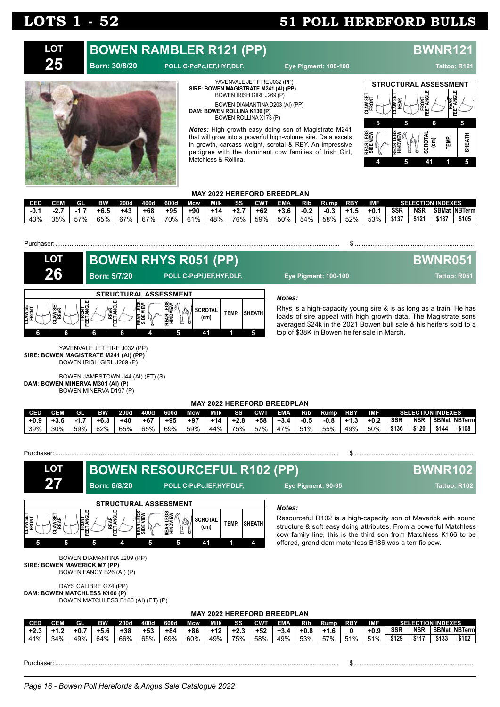#### YAVENVALE JET FIRE J032 (PP) **SIRE: BOWEN MAGISTRATE M241 (AI) (PP) BOWEN RAMBLER R121 (PP) BWNR121 Born: 30/8/20 POLL C-PcPc,IEF,HYF,DLF, Eye Pigment: 100-100 Tattoo: R121 LOT 25**



BOWEN IRISH GIRL J269 (P) BOWEN DIAMANTINA D203 (AI) (PP) **DAM: BOWEN ROLLINA K136 (P)** BOWEN ROLLINA X173 (P)

*Notes:* High growth easy doing son of Magistrate M241 that will grow into a powerful high-volume sire. Data excels in growth, carcass weight, scrotal & RBY. An impressive pedigree with the dominant cow families of Irish Girl, Matchless & Rollina.



### **MAY 2022 HEREFORD BREEDPLAN**

| CED    |     | GI  | <b>RW</b> | 200d  | 400d  | 600d  | Mcw | Milk  | SS     | <b>CWT</b> | <b>EMA</b> | Rib    | Rump   | <b>RBY</b> | IMF    |            | <b>SELECTION INDEXES</b> |       |                       |
|--------|-----|-----|-----------|-------|-------|-------|-----|-------|--------|------------|------------|--------|--------|------------|--------|------------|--------------------------|-------|-----------------------|
| $-0.1$ |     |     | $+6.5$    | $+43$ | $+68$ | $+95$ | +90 | $+14$ | $+2.7$ | $+62$      | $+3.6$     | $-0.2$ | $-0.3$ | $+1.5$     | $+0.1$ | <b>SSR</b> | <b>NSR</b>               |       | <b>SBMat INBTerml</b> |
| 43%    | 35% | 57% | 65%       | 67%   | 67%   | 70%   | 61% | 48%   | 76%    | 59%        | 50%        | 54%    | 58%    | 52%        | 53%    | \$137      | \$121                    | \$137 | \$105                 |



*Notes:* Rhys is a high-capacity young sire & is as long as a train. He has loads of sire appeal with high growth data. The Magistrate sons averaged \$24k in the 2021 Bowen bull sale & his heifers sold to a top of \$38K in Bowen heifer sale in March. **LOT 26 STRUCTURAL ASSESSMENT CLAW SET FRONT CLAW SET REAR FRONT FEET ANGLE REAR FEET ANGLE REAR LEGS SIDE VIEW REAR LEGS HINDVIEW SCROTAL (cm) TEMP. SHEATH 6 6 6 6 4 5 41 1 5 BOWEN RHYS R051 (PP) BWNR051 Born: 5/7/20 POLL C-PcPf,IEF,HYF,DLF, Eye Pigment: 100-100 Tattoo: R051** Purchaser: .................................................................................................................................................................. \$ ....................................................................

YAVENVALE JET FIRE J032 (PP) **SIRE: BOWEN MAGISTRATE M241 (AI) (PP)** BOWEN IRISH GIRL J269 (P)

BOWEN JAMESTOWN J44 (AI) (ET) (S) **DAM: BOWEN MINERVA M301 (AI) (P)** BOWEN MINERVA D197 (P)

#### **MAY 2022 HEREFORD BREEDPLAN**

| <b>CED</b> | CEM | GL           | вw   | <b>200d</b> | 400d  | 600d  | Mcw. | <b>Milk</b> | SS     | <b>CWT</b> | <b>EMA</b> | Rib  | Rump | <b>RBY</b>  | <b>IMF</b> |            |            | <b>SELECTION INDEXES</b> |                      |
|------------|-----|--------------|------|-------------|-------|-------|------|-------------|--------|------------|------------|------|------|-------------|------------|------------|------------|--------------------------|----------------------|
| $+0.9$     |     | -1           | +6.3 | $+40$       | $+67$ | $+95$ | +97  | $+14$       | $+2.8$ | +58        | $+3.4$     | -0.5 | -0.8 | $+1$<br>۰., | $+0.2$     | <b>SSR</b> | <b>NSR</b> |                          | <b>SBMat NBTerml</b> |
| 39%        | 30% | 59%<br>JJ 70 | 62%  | 65%         | 65%   | 69%   | 59%  | 44%         | 75%    | 57%        | 47%        | 51%  | 55%  | 49%         | 50%        | \$136      | ነ120       | \$144                    | \$108                |

Purchaser: .................................................................................................................................................................. \$ ....................................................................

*Notes:* Resourceful R102 is a high-capacity son of Maverick with sound structure & soft easy doing attributes. From a powerful Matchless cow family line, this is the third son from Matchless K166 to be offered, grand dam matchless B186 was a terrific cow. **MAY 2022 HEREFORD BREEDPLAN** BOWEN DIAMANTINA J209 (PP) **SIRE: BOWEN MAVERICK M7 (PP)** BOWEN FANCY B26 (AI) (P) DAYS CALIBRE G74 (PP) **DAM: BOWEN MATCHLESS K166 (P)** BOWEN MATCHLESS B186 (AI) (ET) (P) **LOT 27 CED CEM GL BW 200d 400d 600d Mcw Milk SS CWT EMA Rib Rump RBY IMF SELECTION INDEXES**  $+2.3$   $+1.2$   $+0.7$   $+5.6$   $+38$   $+53$   $+84$   $+86$   $+12$   $+2.3$   $+52$   $+3.4$   $+0.8$   $+1.6$  0  $+0.9$  SSR NSR SBMat NBTerm<br> $41\%$  34% 49% 64% 66% 65% 69% 60% 49% 75% 58% 49% 53% 57% 51% 51% \$129 \$117 \$133 \$102 41% 34% 49% 64% 66% 65% 69% 60% 49% 75% 58% 49% 53% 57% 51% 51% **\$129 \$117 \$133 \$102 STRUCTURAL ASSESSMENT CLAW SET FRONT CLAW SET REAR FRONT FEET ANGLE REAR FEET ANGLE REAR LEGS SIDE VIEW REAR LEGS HINDVIEW SCROTAL (cm) TEMP. SHEATH 5 5 5 4 5 5 41 1 4 BOWEN RESOURCEFUL R102 (PP) BWNR102 Born: 6/8/20 POLL C-PcPc,IEF,HYF,DLF, Eye Pigment: 90-95 Tattoo: R102**

Purchaser: .................................................................................................................................................................. \$ ....................................................................

*Page 16 - Bowen Poll Herefords & Angus Sale Catalogue 2022*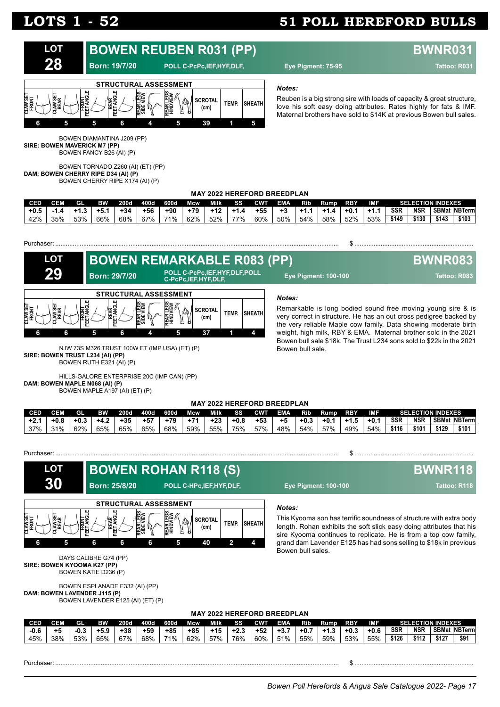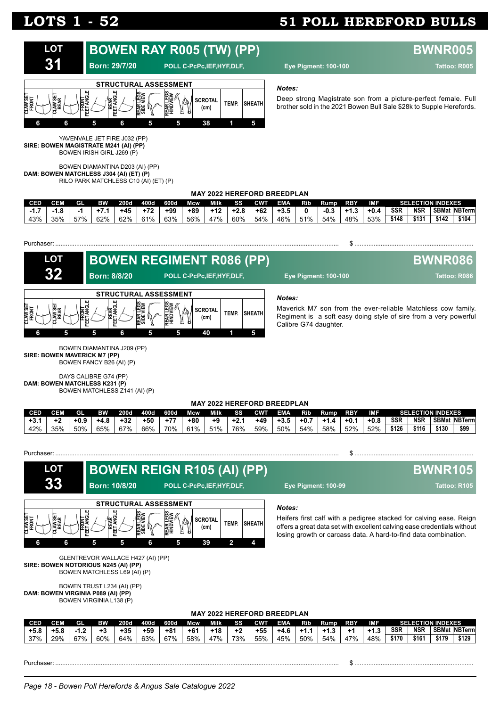

YAVENVALE JET FIRE J032 (PP) **SIRE: BOWEN MAGISTRATE M241 (AI) (PP)** BOWEN IRISH GIRL J269 (P)

BOWEN DIAMANTINA D203 (AI) (PP) **DAM: BOWEN MATCHLESS J304 (AI) (ET) (P)** RILO PARK MATCHLESS C10 (AI) (ET) (P)

#### *Notes:*

Deep strong Magistrate son from a picture-perfect female. Full brother sold in the 2021 Bowen Bull Sale \$28k to Supple Herefords.

|  | <b>MAY 2022 HEREFORD BREEDPLAN</b> |  |
|--|------------------------------------|--|
|  |                                    |  |

| <b>CED</b> |           | 'nП. | вw  | $-200$ d | 400d  | 600d  | <b>Mcw</b> | Milk  | SS     | <b>CWT</b> | EMA.   | Rib | Rump   | <b>RBY</b> | IMF    |            |            | SELECTION INDEXES |                     |
|------------|-----------|------|-----|----------|-------|-------|------------|-------|--------|------------|--------|-----|--------|------------|--------|------------|------------|-------------------|---------------------|
|            | $\bullet$ |      |     | $+45$    | $+72$ | $+99$ | $+89$      | $+12$ | $+2.8$ | $+62$      | $+3.5$ |     | $-0.3$ | د.1+       | $+0.4$ | <b>SSR</b> | <b>NSR</b> |                   | <b>SBMat NBTerm</b> |
| 43%        | 35%       | 57%  | 62% | 62%      | 61%   | 63%   | 56%        | 47%   | 60%    | 54%        | 46%    | 51% | 54%    | 48%        | 53%    | \$148      | \$131      | \$142             | \$104               |





BOWEN DIAMANTINA J209 (PP) **SIRE: BOWEN MAVERICK M7 (PP)** BOWEN FANCY B26 (AI) (P)

DAYS CALIBRE G74 (PP) **DAM: BOWEN MATCHLESS K231 (P)** BOWEN MATCHLESS Z141 (AI) (P)

#### **MAY 2022 HEREFORD BREEDPLAN**

| <b>CED</b> | CEM | GL   | вw   | <b>200d</b> | 400d  | 600d  | Mcw   | <b>Milk</b> | SS  | <b>CWT</b> | <b>EMA</b> | Rib    | Rump   | RBY    | <b>IMF</b> |            |            | <b>SELECTION INDEXES</b> |                      |
|------------|-----|------|------|-------------|-------|-------|-------|-------------|-----|------------|------------|--------|--------|--------|------------|------------|------------|--------------------------|----------------------|
| +3.        |     | +0.9 | +4.ა | $+32$       | $+50$ | $+77$ | $+80$ | +9          |     | $+49$      | $+3.5$     | $+0.7$ | $+1.4$ | $+0.7$ | $+0.8$     | <b>SSR</b> | <b>NSR</b> |                          | <b>SBMat NBTerml</b> |
| 42%        | 35% | 50%  | 65%  | 67%         | 66%   | 70%   | 61%   | 51%         | 76% | 59%        | 50%        | 54%    | 58%    | 52%    | 52%        | \$126      | \$116      | \$130                    | \$99                 |

| Purchaser: |  |
|------------|--|
|            |  |



|               | \$129<br>__ |
|---------------|-------------|
| וטו שווו וושש | \$179       |
| .             | \$161       |
| <u>vun</u>    | \$170       |
| .             | 48%         |
| . .           | 47%         |
| ט.וי          | 54%         |
| .             | 50%         |
| . ט.          | 45%         |
|               | 55%         |
| $\epsilon$    | 73%         |
| 10            | 47%         |
| .             | 58%         |
| .             | 67%         |
| -טי           | 63%         |
| ູບ            | 64%         |
| . .           | 60%         |
|               | 67%         |
| . ט. ט        | 29%         |
| . ט. ט        | 37%         |
|               |             |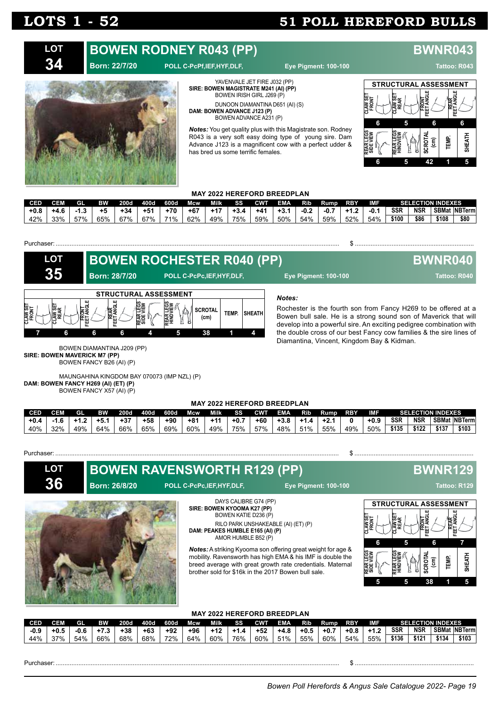#### **BOWEN RODNEY R043 (PP) BWNR043 LOT**

### **Born: 22/7/20 POLL C-PcPf,IEF,HYF,DLF, Eye Pigment: 100-100 Tattoo: R043**



**SIRE: BOWEN MAGISTRATE M241 (AI) (PP)** BOWEN IRISH GIRL J269 (P) DUNOON DIAMANTINA D651 (AI) (S) **DAM: BOWEN ADVANCE J123 (P)** BOWEN ADVANCE A231 (P)

YAVENVALE JET FIRE J032 (PP)

*Notes:* You get quality plus with this Magistrate son. Rodney R043 is a very soft easy doing type of young sire. Dam Advance J123 is a magnificent cow with a perfect udder & has bred us some terrific females.



### **MAY 2022 HEREFORD BREEDPLAN**

| CED    | <b>CEM</b> | GI. | ВW  | 200d  | 400d  | 600d  | Mcw   | Milk  | SS     | CWT | <b>EMA</b> | RID.   | Rump   | <b>RBY</b> | IMF    |            | <b>SELECTION INDEXES</b> |       |                       |
|--------|------------|-----|-----|-------|-------|-------|-------|-------|--------|-----|------------|--------|--------|------------|--------|------------|--------------------------|-------|-----------------------|
| $+0.8$ | +4.6       |     | +5  | $+34$ | $+51$ | $+70$ | $+67$ | $+17$ | $+3.4$ | +41 | $+3.1$     | $-0.2$ | $-0.7$ | $+1.2$     | $-0.1$ | <b>SSR</b> | <b>NSR</b>               |       | <b>SBMat INBTerml</b> |
| 42%    | 33%        | 57% | 65% | 67%   | 67%   | 71%.  | 62%   | 49%   | 75% i  | 59% | 50%        | 54%    | 59%    | 52%        | 54%    | \$100      | \$86                     | \$108 | \$80                  |

#### Purchaser: .................................................................................................................................................................. \$ ....................................................................

| <b>LOT</b>                 | <b>BOWEN ROCHESTER R040 (PP)</b>                                    |                        |                                                              |       |               |                                                                                                                                                                                                                                                                                                                                         | <b>BWNR040</b> |
|----------------------------|---------------------------------------------------------------------|------------------------|--------------------------------------------------------------|-------|---------------|-----------------------------------------------------------------------------------------------------------------------------------------------------------------------------------------------------------------------------------------------------------------------------------------------------------------------------------------|----------------|
| 35                         | <b>Born: 28/7/20</b>                                                |                        | POLL C-PcPc, IEF, HYF, DLF,                                  |       |               | <b>Eye Pigment: 100-100</b>                                                                                                                                                                                                                                                                                                             | Tattoo: R040   |
| <b>LAW SET</b><br>e≝<br>≷∯ | <b>STRUCTURAL ASSESSMENT</b><br>ERONT<br>EET ANGLE<br>EET ANGL<br>6 | REAR LEGS<br>SIDE VIEW | <b>REAR LEGS</b><br>HINDVIEW<br><b>SCROTAL</b><br>(cm)<br>38 | TEMP. | <b>SHEATH</b> | Notes:<br>Rochester is the fourth son from Fancy H269 to be offered at a<br>Bowen bull sale. He is a strong sound son of Maverick that will<br>develop into a powerful sire. An exciting pedigree combination with<br>the double cross of our best Fancy cow families & the sire lines of<br>Diamantina, Vincent, Kingdom Bay & Kidman. |                |

BOWEN DIAMANTINA J209 (PP) **SIRE: BOWEN MAVERICK M7 (PP)** BOWEN FANCY B26 (AI) (P)

MAUNGAHINA KINGDOM BAY 070073 (IMP NZL) (P) **DAM: BOWEN FANCY H269 (AI) (ET) (P)** BOWEN FANCY X57 (AI) (P)

#### **MAY 2022 HEREFORD BREEDPLAN**

| <b>CED</b> | CEM | GL  | вw  | 200d  | 400d  | 600d | Mcw   | Milk  | SS  | CWT   | <b>EMA</b> | Rib | Rump  | <b>RBY</b> | <b>IMF</b> |            | <b>SELECTION INDEXES</b> |       |                      |
|------------|-----|-----|-----|-------|-------|------|-------|-------|-----|-------|------------|-----|-------|------------|------------|------------|--------------------------|-------|----------------------|
| +0.4       |     |     | +5. | $+37$ | $+58$ | +90  | $+81$ | $+11$ | +0. | $+60$ | +3.8       | 4   | $+2.$ |            | $+0.9$     | <b>SSR</b> | NSR                      |       | <b>SBMat NBTerml</b> |
| 40%        | 32% | 49% | 64% | 66%   | 65%   | 69%  | 60%   | 49%   | 75% | 57%   | 48%        | 51% | 55%   | 49%        | 50%        | \$135      | 122                      | \$137 | \$103                |

#### Purchaser Sample of the Second Contract of the Second Contract of the Second Contract of Second Contract of Second Contract of Second Contract of Second Contract of Second Contract of Second Contract of Second Contract of

**LOT 36**

**BOWEN RAVENSWORTH R129 (PP) BWNR129** 



DAYS CALIBRE G74 (PP) **SIRE: BOWEN KYOOMA K27 (PP)** BOWEN KATIE D236 (P) RILO PARK UNSHAKEABLE (AI) (ET) (P) **DAM: PEAKES HUMBLE E165 (AI) (P)** AMOR HUMBLE B52 (P)

*Notes:* A striking Kyooma son offering great weight for age & mobility. Ravensworth has high EMA & his IMF is double the breed average with great growth rate credentials. Maternal brother sold for \$16k in the 2017 Bowen bull sale.





### **MAY 2022 HEREFORD BREEDPLAN**

|            |      |      |           |       |       |       | ------- |      | ------------ | --------------- |            |            |        |            |        |            |                          |       |                      |
|------------|------|------|-----------|-------|-------|-------|---------|------|--------------|-----------------|------------|------------|--------|------------|--------|------------|--------------------------|-------|----------------------|
| <b>CED</b> | CEM  | Gl   | <b>BW</b> | 200d  | 400d  | 600d  | Mcw     | Milk | SS           | <b>CWT</b>      | <b>EMA</b> | <b>Rib</b> | Rump   | <b>RBY</b> | IMF    |            | <b>SELECTION INDEXES</b> |       |                      |
| $-0.9$     | +0.ა | -0.6 | +7.3      | $+38$ | $+63$ | $+92$ | $+96$   | +12  |              | $+52$           | +4.8       | $+0.5$     | $+0.7$ | $+0.8$     | $+1.2$ | <b>SSR</b> | <b>NSR</b>               |       | <b>SBMat NBTerml</b> |
| 44%        | 270/ | 54%  | 66%       | 68%   | 68%   | 72%   | 64%     | 60%  | 76%          | 60%             | 51%        | 55%        | 60%    | 54%        | 55%    | \$136      | \$121                    | \$134 | \$103                |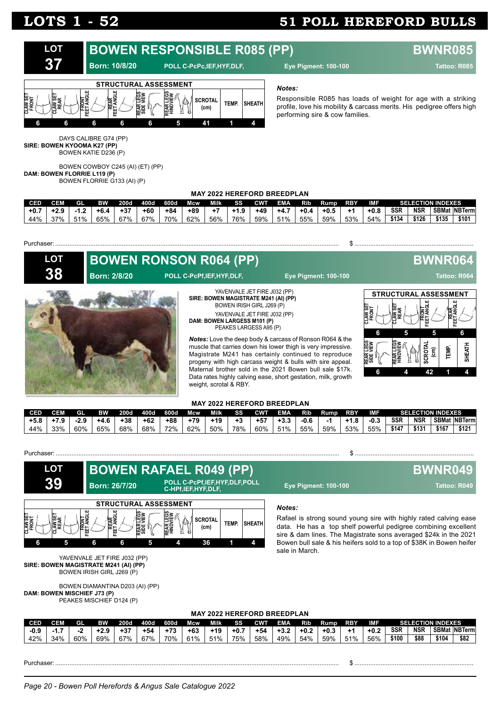

#### *Notes:*

Responsible R085 has loads of weight for age with a striking profile, love his mobility & carcass merits. His pedigree offers high performing sire & cow families.

DAYS CALIBRE G74 (PP) **SIRE: BOWEN KYOOMA K27 (PP)** BOWEN KATIE D236 (P)

BOWEN COWBOY C245 (AI) (ET) (PP) **DAM: BOWEN FLORRIE L119 (P)** BOWEN FLORRIE G133 (AI) (P)

### **MAY 2022 HEREFORD BREEDPLAN**

| <b>CED</b> |     | GI  | <b>RW</b> | 200d  | 400d | 600d  | Mcw.  | Milk | 88     | CWT   | <b>EMA</b> | Rib    | Rump   | <b>RBY</b> | <b>IMF</b> |       | <b>SELECTION INDEXES</b> |       |                      |
|------------|-----|-----|-----------|-------|------|-------|-------|------|--------|-------|------------|--------|--------|------------|------------|-------|--------------------------|-------|----------------------|
| $+0.7$     |     |     | +6.4      | $+37$ | +60  | $+84$ | $+89$ |      | $+1.9$ | $+49$ | $+4.7$     | $+0.4$ | $+0.5$ | +1         | $+0.8$     | SSR   | <b>NSR</b>               |       | <b>SBMat NBTerml</b> |
| 44%        | 37% | 51% | 65%       | 67%   | 67%  | 70%   | 62%   | 56%  | 76%    | 59%   | 51%        | 55%    | 59%    | 53%        | 54%        | \$134 | \$126                    | \$135 | \$101                |

| <b>LOT</b> |                     | <b>BOWEN RONSON R064 (PP)</b>                                                                                                                         |                                                                                                                                                                                                                                                                                                                                                                                                                                                    |                                                                                                           | <b>BWNR064</b>                                                                                                 |             |
|------------|---------------------|-------------------------------------------------------------------------------------------------------------------------------------------------------|----------------------------------------------------------------------------------------------------------------------------------------------------------------------------------------------------------------------------------------------------------------------------------------------------------------------------------------------------------------------------------------------------------------------------------------------------|-----------------------------------------------------------------------------------------------------------|----------------------------------------------------------------------------------------------------------------|-------------|
| 38         | <b>Born: 2/8/20</b> | POLL C-PcPf,IEF,HYF,DLF,                                                                                                                              | <b>Eye Pigment: 100-100</b>                                                                                                                                                                                                                                                                                                                                                                                                                        |                                                                                                           | Tattoo: R064                                                                                                   |             |
|            |                     | SIRE: BOWEN MAGISTRATE M241 (AI) (PP)<br>BOWEN IRISH GIRL J269 (P)<br>DAM: BOWEN LARGESS M101 (P)<br>PEAKES LARGESS A95 (P)<br>weight, scrotal & RBY. | YAVENVALE JET FIRE J032 (PP)<br>YAVENVALE JET FIRE J032 (PP)<br><b>Notes:</b> Love the deep body & carcass of Ronson R064 & the<br>muscle that carries down his lower thigh is very impressive.<br>Magistrate M241 has certainly continued to reproduce<br>progeny with high carcass weight & bulls with sire appeal.<br>Maternal brother sold in the 2021 Bowen bull sale \$17k.<br>Data rates highly calving ease, short gestation, milk, growth | <b>STRUCTURAL ASSESSMENT</b><br><b>AWSE</b><br>FRONT<br>AW SE<br>Rear<br>6<br>REAR LEGS<br>SIDE VIEW<br>6 | <b>REAR</b><br>ET ANGLE<br>ET ANGL<br>٣<br>5<br><b>SCROTAL</b><br><b>TEMP.</b><br>$\widehat{\mathsf{E}}$<br>42 | 6<br>SHEATH |

| <b>MAY 2022 HEREFORD BREEDPLAN</b> |  |
|------------------------------------|--|
|------------------------------------|--|

| CED    |     | GI  | BW   | <b>200d</b> | 400d  | 600d  | Mcw   | Milki | <b>SS</b> | <b>CWT</b> | EMA | Rib  | Rump | <b>RBY</b> | IMF |       |       | <b>SELECTION INDEXES</b> |                     |
|--------|-----|-----|------|-------------|-------|-------|-------|-------|-----------|------------|-----|------|------|------------|-----|-------|-------|--------------------------|---------------------|
| $+5.8$ |     |     | +4.6 | $+38$       | $+62$ | $+88$ | $+79$ | $+19$ |           |            |     | -0.6 |      | . .<br>ᅩᄹ  |     | SSR   | NSR   |                          | <b>SBMat NBTerm</b> |
| 44%    | 33% | 60% | 65%  | 68%         | 68%   | 72%   | 62%   | 50%   | 78%       | 60%        | 51% | 55%  | 59%  | 53%        | 55% | \$147 | \$131 | \$167                    | \$121               |

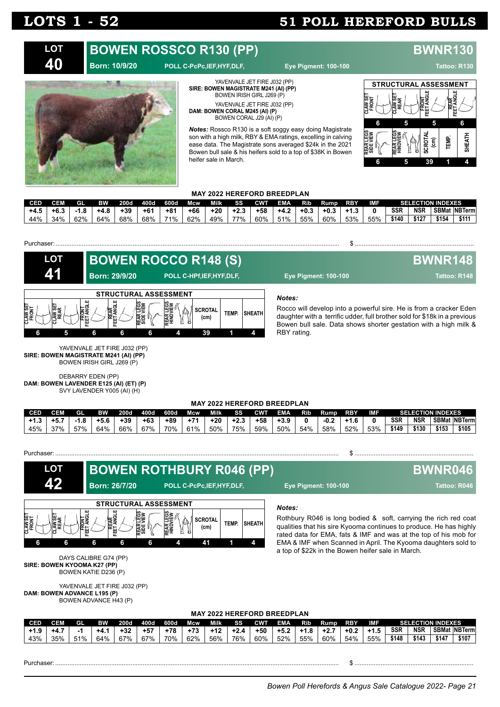

**MAY 2022 HEREFORD BREEDPLAN**

|        |        |     |        |             |       |       |       | MAI EVEL HEINEI VIND DINEEDI EAN |        |            |            |        |        |            |        |            |            |                          |                  |
|--------|--------|-----|--------|-------------|-------|-------|-------|----------------------------------|--------|------------|------------|--------|--------|------------|--------|------------|------------|--------------------------|------------------|
| LCED   | CEM    | GL  | вw     | <b>200d</b> | 400d  | 600d  | Mcw   | Milk                             | SS     | <b>CWT</b> | <b>EMA</b> | Rib    | Rump.  | <b>RBY</b> | IMF    |            |            | <b>SELECTION INDEXES</b> |                  |
| $+1.9$ | $+4.7$ | -1  | $+4.1$ | $+32$       | $+57$ | $+78$ | $+73$ | $+12$                            | $+2.4$ | $+50$      | $+5.2$     | $+1.8$ | $+2.7$ | $+0.2$     | $+1.5$ | <b>SSR</b> | <b>NSR</b> |                          | ' SBMat INBTerml |
| 43%    | 35%    | 51% | 64%    | 67%         | 67%   | 70%   | 62%   | 56%                              | 76%    | 60%        | 52%        | 55%    | 60%    | 54%        | 55%    | \$148      | \$143      | \$147                    | \$107            |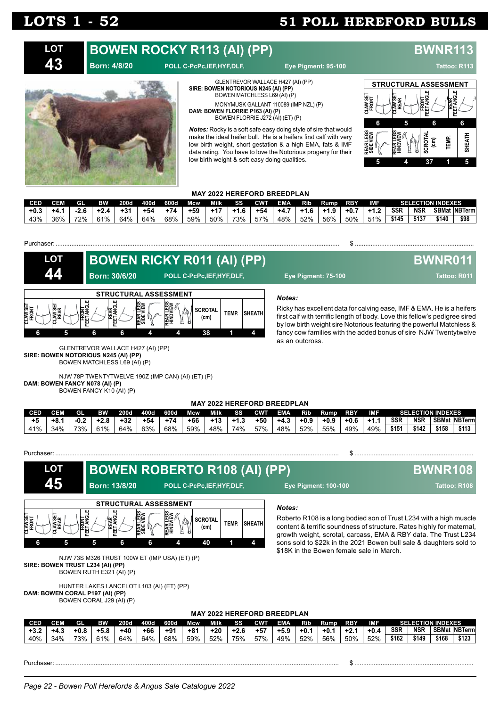### **BOWEN ROCKY R113 (AI) (PP) BWNR11 Born: 4/8/20 POLL C-PcPc,IEF,HYF,DLF, Eye Pigment: 95-100 LOT**

**43**

**BWNR011** 



#### **SIRE: BOWEN NOTORIOUS N245 (AI) (PP)** BOWEN MATCHLESS L69 (AI) (P) MONYMUSK GALLANT 110089 (IMP NZL) (P) **DAM: BOWEN FLORRIE P163 (AI) (P)** BOWEN FLORRIE J272 (AI) (ET) (P)

GLENTREVOR WALLACE H427 (AI) (PP)

*Notes:* Rocky is a soft safe easy doing style of sire that would make the ideal heifer bull. He is a heifers first calf with very low birth weight, short gestation & a high EMA, fats & IMF data rating. You have to love the Notorious progeny for their low birth weight & soft easy doing qualities.



#### **MAY 2022 HEREFORD BREEDPLAN**

| <b>CED</b> |     | GI.    | <b>BW</b> | <b>200d</b> | 400d  | 600d | Mcw   | Milk  | SS     | <b>CWT</b> | <b>EMA</b> | RID. | Rump   | <b>RBY</b> | IMF    |            | <b>SELECTION INDEXES</b> |       |                     |
|------------|-----|--------|-----------|-------------|-------|------|-------|-------|--------|------------|------------|------|--------|------------|--------|------------|--------------------------|-------|---------------------|
| $+0.3$     | +4. | $-2.6$ | $+24$     | $+31$       | $+54$ | +74  | $+59$ | $+17$ | $+1.6$ | $+54$      | +4.7       | +1.6 | $+1.9$ | $+0.7$     | $+1.2$ | <b>SSR</b> | <b>NSR</b>               |       | <b>SBMat NBTerm</b> |
| 43%        | 36% | 72%    | 61%       | 64%         | 64%   | 68%  | 59%   | 50%   | 73%    | 57%        | 48%        | 52%  | 56%    | 50%        | 51%    | \$145      | \$137                    | \$140 | \$98                |

#### Purchaser: .................................................................................................................................................................. \$ ....................................................................

| LOT                      |                |                              |                      | <b>BOWEN RICKY R011 (AI) (PP)</b> |                        |       |               |  |
|--------------------------|----------------|------------------------------|----------------------|-----------------------------------|------------------------|-------|---------------|--|
|                          |                |                              | <b>Born: 30/6/20</b> | POLL C-PcPc, IEF, HYF, DLF,       |                        |       |               |  |
|                          |                |                              |                      | <b>STRUCTURAL ASSESSMENT</b>      |                        |       |               |  |
| <b>CLAW SE'</b><br>FRONT | AW SE'<br>REAR | <b>FRONT</b><br>ET ANGL<br>ᄑ | 많는<br>ш              |                                   | <b>SCROTAL</b><br>(cm) | TEMP. | <b>SHEATH</b> |  |
| 6                        |                | 6                            | 6                    |                                   | 38                     |       |               |  |

*Notes:*

Ricky has excellent data for calving ease, IMF & EMA. He is a heifers first calf with terrific length of body. Love this fellow's pedigree sired by low birth weight sire Notorious featuring the powerful Matchless & fancy cow families with the added bonus of sire NJW Twentytwelve as an outcross.

**Boxn: 30.477.100 <b>Pigment: 75-100 Tattoo: R011** 

#### GLENTREVOR WALLACE H427 (AI) (PP) **SIRE: BOWEN NOTORIOUS N245 (AI) (PP)** BOWEN MATCHLESS L69 (AI) (P)

NJW 78P TWENTYTWELVE 190Z (IMP CAN) (AI) (ET) (P) **DAM: BOWEN FANCY N078 (AI) (P)** BOWEN FANCY K10 (AI) (P)

### **MAY 2022 HEREFORD BREEDPLAN**

| <b>CED</b> | CEM   | GL   | вw   | <b>200d</b> | 400d  | 600d  | Mcw   | Milk  | SS     | <b>CWT</b> | <b>EMA</b> | Rib    | Rump   | <b>RBY</b> | <b>IME</b> |            | <b>SELECTION INDEXES</b> |       |                     |
|------------|-------|------|------|-------------|-------|-------|-------|-------|--------|------------|------------|--------|--------|------------|------------|------------|--------------------------|-------|---------------------|
| $+5$       | +8. . | -0.2 | +2.8 | $+32$       | $+54$ | $+74$ | $+66$ | $+13$ | $+1.3$ | $+50$      | $+4.3$     | $+0.9$ | $+0.9$ | $+0.6$     | $+1.1$     | <b>SSR</b> | <b>NSR</b>               |       | <b>SBMat NBTerm</b> |
| 41%        | 34%   | 73%  | 61%  | 64%         | 63%   | 68%   | 59%   | 48%   | 74%    | 57%        | 48%        | 52%    | 55%    | 49%        | 49%        | \$151      | \$142                    | \$158 | \$113               |

**CLAW SET**

Purchaser: .................................................................................................................................................................. \$ ....................................................................

#### *Notes:* Roberto R108 is a long bodied son of Trust L234 with a high muscle content & terrific soundness of structure. Rates highly for maternal, growth weight, scrotal, carcass, EMA & RBY data. The Trust L234 sons sold to \$22k in the 2021 Bowen bull sale & daughters sold to \$18K in the Bowen female sale in March. NJW 73S M326 TRUST 100W ET (IMP USA) (ET) (P) **SIRE: BOWEN TRUST L234 (AI) (PP)** BOWEN RUTH E321 (AI) (P) HUNTER LAKES LANCELOT L103 (AI) (ET) (PP) **DAM: BOWEN CORAL P197 (AI) (PP) LOT 45 STRUCTURAL ASSESSMENT FRONT CLAW SET REAR FRONT FEET ANGLE REAR FEET ANGLE REAR LEGS SIDE VIEW REAR LEGS HINDVIEW SCROTAL (cm) TEMP. SHEATH 6 5 5 6 6 4 40 1 4 BOWEN ROBERTO R108 (AI) (PP) BWNR108 Born: 13/8/20 POLL C-PcPc,IEF,HYF,DLF, Eye Pigment: 100-100 Tattoo: R108**

BOWEN CORAL J29 (AI) (P)

### **MAY 2022 HEREFORD BREEDPLAN**

| CED    | CEM    | <b>GI</b> | вw     | <b>200d</b> | 400d  | 600d  | Mcw   | Milk | SS     | <b>CWT</b> | <b>EMA</b> | Rib.    | Rump | <b>RBY</b> | IMF    |       |            | <b>SELECTION INDEXES</b> |                      |
|--------|--------|-----------|--------|-------------|-------|-------|-------|------|--------|------------|------------|---------|------|------------|--------|-------|------------|--------------------------|----------------------|
| $+3.2$ | - 4. - | +0.8      | $+5.8$ | $+40$       | $+66$ | $+91$ | $+81$ | +20  | $+2.6$ | $+57$      | $+5.9$     | - +0. . | +0.  | $+2.1$     | $+0.4$ | SSR   | <b>NSR</b> |                          | <b>SBMat NBTerml</b> |
| 40%    | 34%    | 73%       | 61%    | 64%         | 64%   | 68%   | 59%   | 52%  | 75%    | 57%        | 49%        | 52%     | 56%  | 50%        | 52%    | \$162 | \$149      | \$168                    | \$123                |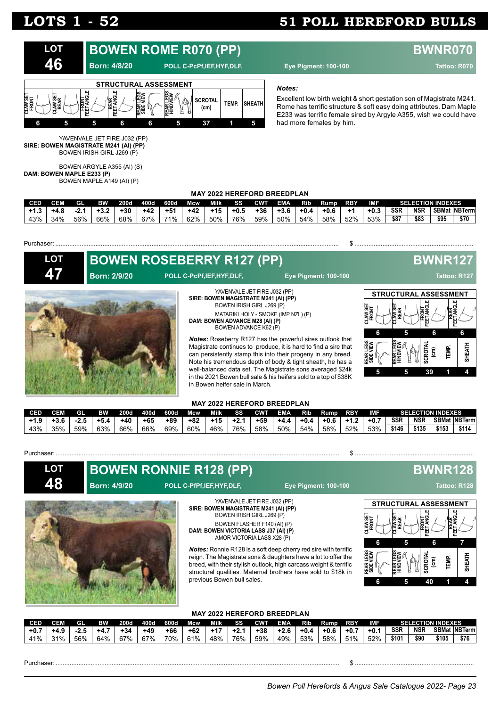

#### *Notes:*

Excellent low birth weight & short gestation son of Magistrate M241. Rome has terrific structure & soft easy doing attributes. Dam Maple E233 was terrific female sired by Argyle A355, wish we could have had more females by him.

YAVENVALE JET FIRE J032 (PP) **SIRE: BOWEN MAGISTRATE M241 (AI) (PP)** BOWEN IRISH GIRL J269 (P)

BOWEN ARGYLE A355 (AI) (S) **DAM: BOWEN MAPLE E233 (P)** BOWEN MAPLE A149 (AI) (P)

### **MAY 2022 HEREFORD BREEDPLAN**

| CED |     | Gl  | вw  | 200d  | 400d  | 600d  | Mcw   | Milk  | <b>SS</b> | <b>CWF</b> | <b>EMA</b> | Rib  | Rump   | <b>RBY</b> | IMF    |            | <b>SELECTION INDEXES</b> |      |                     |
|-----|-----|-----|-----|-------|-------|-------|-------|-------|-----------|------------|------------|------|--------|------------|--------|------------|--------------------------|------|---------------------|
|     |     | -4. |     | $+30$ | $+42$ | $+54$ | $+42$ | $+15$ | $+0.5$    | +36        | $+3.6$     | +0.4 | $+0.6$ | - 1        | $+0.3$ | <b>SSR</b> | <b>NSR</b>               |      | <b>SBMat NBTerm</b> |
| 43% | 34% | 56% | 66% | 68%   | 67%   | 71%   | 62%   | 50%   | 76%       | 59%        | 50%        | 54%  | 58%    | 52%        | 53%    | \$87       | \$83                     | \$95 | \$70                |

Purchaser: .................................................................................................................................................................. \$ ....................................................................

| <b>LOT</b> |                     | <b>BOWEN ROSEBERRY R127 (PP)</b>                                                                                                                                                                                                        |                                                                                                                                                                                                                                                                                                                                                                                                     |                                                                                                         | <b>BWNR127</b>                                                   |             |
|------------|---------------------|-----------------------------------------------------------------------------------------------------------------------------------------------------------------------------------------------------------------------------------------|-----------------------------------------------------------------------------------------------------------------------------------------------------------------------------------------------------------------------------------------------------------------------------------------------------------------------------------------------------------------------------------------------------|---------------------------------------------------------------------------------------------------------|------------------------------------------------------------------|-------------|
| <b>AV</b>  | <b>Born: 2/9/20</b> | POLL C-PcPf,IEF,HYF,DLF,                                                                                                                                                                                                                | <b>Eye Pigment: 100-100</b>                                                                                                                                                                                                                                                                                                                                                                         |                                                                                                         | Tattoo: R127                                                     |             |
|            |                     | YAVENVALE JET FIRE J032 (PP)<br>SIRE: BOWEN MAGISTRATE M241 (AI) (PP)<br>BOWEN IRISH GIRL J269 (P)<br>MATARIKI HOLY - SMOKE (IMP NZL) (P)<br>DAM: BOWEN ADVANCE M28 (AI) (P)<br>BOWEN ADVANCE K62 (P)<br>in Bowen heifer sale in March. | <b>Notes:</b> Roseberry R127 has the powerful sires outlook that<br>Magistrate continues to produce, it is hard to find a sire that<br>can persistently stamp this into their progeny in any breed.<br>Note his tremendous depth of body & tight sheath, he has a<br>well-balanced data set. The Magistrate sons averaged \$24k<br>in the 2021 Bowen bull sale & his heifers sold to a top of \$38K | <b>STRUCTURAL ASSESSMENT</b><br>AW SE<br>RONT<br>AW SI<br>REAR<br>6<br>ь<br>REAR LEGS<br>SIDE VIEW<br>5 | <b>REAR</b><br>ET ANGLE<br><b>FRONT</b><br>6.<br>EMP.<br>효<br>ີເ | 6<br>토<br>뿦 |

#### **MAY 2022 HEREFORD BREEDPLAN**

| CED <sup>1</sup> | CEM | GI   | ВW     | 200d  | 400d  | 600d | Mcw   | <b>Milk</b> | SS     | <b>CWT</b> | <b>EMA</b> | Rib    | <b>Rump</b> | <b>RBY</b> | IMF    |            |            | <b>SELECTION INDEXES</b> |                     |
|------------------|-----|------|--------|-------|-------|------|-------|-------------|--------|------------|------------|--------|-------------|------------|--------|------------|------------|--------------------------|---------------------|
| $+1.9$           | 3.6 | ت ک- | $+5.4$ | $+40$ | $+65$ | +89  | $+82$ | $+15$       | $+2.1$ | $+59$      | $+4.4$     | $+0.4$ | $+0.6$      | $+1.2$     | $+0.7$ | <b>SSR</b> | <b>NSR</b> |                          | <b>SBMat NBTerm</b> |
| 43%              | 35% | 59%  | 63%    | 66%   | 66%   | 69%  | 60%   | 46%         | 76%    | 58%        | 50%        | 54%    | 58%         | 52%        | 53%    | \$146      | \$135      | \$153                    | \$114               |

#### Purchaser: Sales School School School School School School School School School School School School School School School School School School School School School School School School School School School School School Sc

**LOT 48**

### **Born: 4/9/20 POLL C-PfPf,IEF,HYF,DLF, Eye Pigment: 100-100 Tattoo: R128**



YAVENVALE JET FIRE J032 (PP) **SIRE: BOWEN MAGISTRATE M241 (AI) (PP)** BOWEN IRISH GIRL J269 (P) BOWEN FLASHER F140 (AI) (P)

**DAM: BOWEN VICTORIA LASS J37 (AI) (P)** AMOR VICTORIA LASS X28 (P)

*Notes:* Ronnie R128 is a soft deep cherry red sire with terrific reign. The Magistrate sons & daughters have a lot to offer the breed, with their stylish outlook, high carcass weight & terrific structural qualities. Maternal brothers have sold to \$18k in previous Bowen bull sales.

## **BOWEN RONNIE R128 (PP) BWNR128**



### **MAY 2022 HEREFORD BREEDPLAN**

|            |      |     |           |       |       |       | ------- | -------------- |        |            |            |        |             |            |            |                          |            |       |                     |  |
|------------|------|-----|-----------|-------|-------|-------|---------|----------------|--------|------------|------------|--------|-------------|------------|------------|--------------------------|------------|-------|---------------------|--|
| <b>CED</b> | CEM  | GL  | <b>BW</b> | 200d  | 400d  | 600d  | Mcw     | Milk           | SS     | <b>CWT</b> | <b>EMA</b> | RID.   | <b>Rump</b> | <b>RBY</b> | <b>IMF</b> | <b>SELECTION INDEXES</b> |            |       |                     |  |
| $+0.7$     | +4.9 |     | -+4…      | $+34$ | $+49$ | $+66$ | $+62$   | $+17$          | $+2.1$ | $+38$      | $+2.6$     | $+0.4$ | $+0.6$      | $+0.7$     | $+0.1$     | <b>SSR</b>               | <b>NSR</b> |       | <b>SBMat NBTerm</b> |  |
| 41%        | 31%  | 56% | 64%       | 67%   | 67%   | 70% , | 61%     | 48%            | 76%    | 59%        | 49%        | 53%    | 58%         | 51%        | 52%        | \$101                    | \$90       | \$105 | \$76                |  |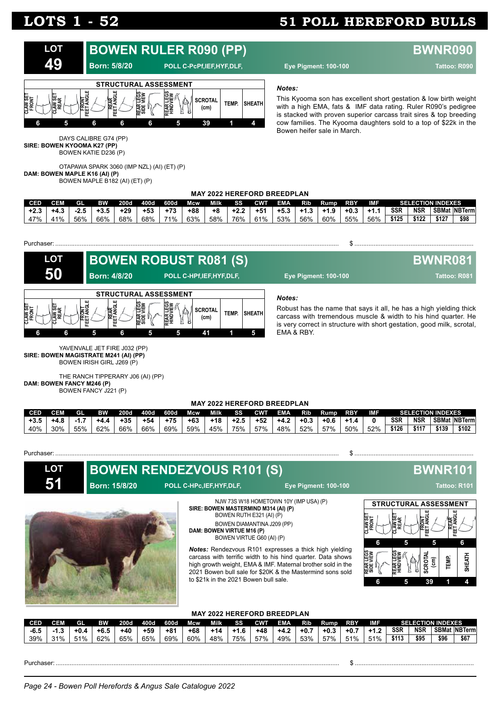

#### *Notes:*

This Kyooma son has excellent short gestation & low birth weight with a high EMA, fats & IMF data rating. Ruler R090's pedigree is stacked with proven superior carcass trait sires & top breeding cow families. The Kyooma daughters sold to a top of \$22k in the Bowen heifer sale in March.

DAYS CALIBRE G74 (PP) **SIRE: BOWEN KYOOMA K27 (PP)** BOWEN KATIE D236 (P)

OTAPAWA SPARK 3060 (IMP NZL) (AI) (ET) (P) **DAM: BOWEN MAPLE K16 (AI) (P)** BOWEN MAPLE B182 (AI) (ET) (P)

### **MAY 2022 HEREFORD BREEDPLAN**

| <b>CED</b> |                 | GI  | ₽W  | 200d  | 400d  | 600d  | Mcw | Milk | RЗ. | CWT | <b>EMA</b> | RID   | Rump   | <b>RBY</b> | <b>AMF</b> |            | <b>SELECTION INDEXES</b> |       |                       |
|------------|-----------------|-----|-----|-------|-------|-------|-----|------|-----|-----|------------|-------|--------|------------|------------|------------|--------------------------|-------|-----------------------|
| - +2.ა     |                 |     | ა.ა | $+29$ | $+53$ | $+73$ | +88 | +8   |     | +51 | — +5.      | ີ +1. | $+1.9$ | $+0.3$     | +1.        | <b>SSR</b> | <b>NSR</b>               |       | <b>SBMat INBTerml</b> |
| 47%        | 10 <sub>6</sub> | 56% | 66% | 68%   | 68%   | 71%   | 63% | 58%  | 76% | 61% | 53%        | 56%   | 60%    | 55%        | 56%        | \$125      | \$122                    | \$127 | \$98                  |





Robust has the name that says it all, he has a high yielding thick carcass with tremendous muscle & width to his hind quarter. He is very correct in structure with short gestation, good milk, scrotal,

YAVENVALE JET FIRE J032 (PP) **SIRE: BOWEN MAGISTRATE M241 (AI) (PP)** BOWEN IRISH GIRL J269 (P)

THE RANCH TIPPERARY J06 (AI) (PP) **DAM: BOWEN FANCY M246 (P)** BOWEN FANCY J221 (P)

#### **MAY 2022 HEREFORD BREEDPLAN**

| <b>CED</b> | CEM  | GL  | вw     | <b>200d</b> | 400d  | 600d  | Mcw   | Milk  | SS     | <b>CWT</b> | <b>EMA</b> | Rib    | Rump   | RBY                  | <b>IME</b> |            | <b>SELECTION INDEXES</b> |       |                     |
|------------|------|-----|--------|-------------|-------|-------|-------|-------|--------|------------|------------|--------|--------|----------------------|------------|------------|--------------------------|-------|---------------------|
| $+3.5$     | +4.ა | -1  | $+4.4$ | $+35$       | $+54$ | $+75$ | $+63$ | $+18$ | $+2.5$ | $+52$      | $+4.2$     | $+0.3$ | $+0.6$ | -+1.<br>$\mathbf{a}$ |            | <b>SSR</b> | <b>NSR</b>               |       | <b>SBMat NBTerm</b> |
| 40%        | 30%  | 55% | 62%    | 66%         | 66%   | 69%   | 59%   | 45%   | 75%    | 57%        | 48%        | 52%    | 57%    | 50%                  | 52%        | \$126      | \$117                    | \$139 | \$102               |

#### Purchaser: .................................................................................................................................................................. \$ ....................................................................

**LOT**

**51**

**BOWEN RENDEZVOUS R101 (S) BWNR101** 



NJW 73S W18 HOMETOWN 10Y (IMP USA) (P) **SIRE: BOWEN MASTERMIND M314 (AI) (P)** BOWEN RUTH E321 (AI) (P) BOWEN DIAMANTINA J209 (PP) **DAM: BOWEN VIRTUE M16 (P)**

BOWEN VIRTUE G60 (AI) (P)

*Notes:* Rendezvous R101 expresses a thick high yielding carcass with terrific width to his hind quarter. Data shows high growth weight, EMA & IMF. Maternal brother sold in the 2021 Bowen bull sale for \$20K & the Mastermind sons sold to \$21k in the 2021 Bowen bull sale.



#### **MAY 2022 HEREFORD BREEDPLAN**

| <b>CED</b> | CEM       | GI.  | BW   | 200d  | 400d | 600d  | Mcw   | Milk | SS   | <b>CWT</b> | <b>EMA</b> | <b>Rib</b> | Rump   | <b>RBY</b> | IMF                    |            |            | <b>SELECTION INDEXES</b> |                |
|------------|-----------|------|------|-------|------|-------|-------|------|------|------------|------------|------------|--------|------------|------------------------|------------|------------|--------------------------|----------------|
| $-6.5$     | ◠<br>-1.J | +0.4 | +6.5 | $+40$ | +59  | $+81$ | $+68$ | +14  | +1.6 | $+48$      | $+4.2$     | $+0.7$     | $+0.3$ | $+0.7$     | $\cdot$ $\sim$<br>- +1 | <b>SSR</b> | <b>NSR</b> | <b>SBMat</b>             | <b>NBTermi</b> |
| 39%        | 31%       | 51%  | 62%  | 65%   | 65%  | 69%   | 60%   | 48%  | 75%  | 57%        | 49%        | 53%        | 57%    | 51%        | 51%                    | \$113      | \$95       | \$96                     | \$67           |